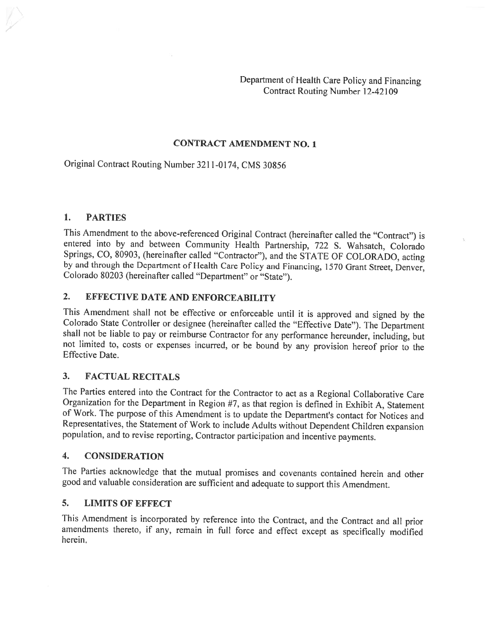Department of Health Care Policy and Financing Contract Routing Number 12-42109

### CONTRACT AMENDMENT NO. 1

Original Contract Routing Number 3211-0174. CMS 30856

#### 1. PARTIES

This Amendment to the above-referenced Original Contract (hereinafter called the "Contract") is entered into by and between Community Health Partnership, 722 S. Wahsatch, Colorado Springs, CO, 80903, (hereinafter called "Contractor"), and the STATE OF COLORADO, acting by and through the Department of Health Care Policy and Financing, 1570 Grant Street, Denver, Colorado <sup>80203</sup> (hereinafter called "Department" or "State").

### 2. EFFECTIVE DATE AND ENFORCEABILITY

This Amendment shall not be effective or enforceable until it is approved and signed by the Colorado State Controller or designee (hereinafter called the "Effective Date"). The Department shall not be liable to pay or reim not limited to, costs or expenses incurred, or be bound by any provision hereof prior to the Effective Date.

### 3. FACTUAL RECITALS

The Parties entered into the Contract for the Contractor to act as <sup>a</sup> Regional Collaborative Care Organization for the Department in Region #7, as that region is defined in Exhibit A, Statement of Work. The purpose of this Amendment is to update the Department's contact for Notices and Representatives, the Statement of Work to include Adults without Dependent Children expansion population, and to revise reporting, Contractor participation and incentive payments.

#### 4. CONSIDERATION

The Parties acknowledge that the mutual promises and covenants contained herein and other good and valuable consideration are sufficient and adequate to support this Amendment.

#### 5. LIMITS OF EFFECT

This Amendment is incorporated by reference into the Contract, and the Contract and all prior amendments thereto, if any, remain in full force and effect except as specifically modified herein.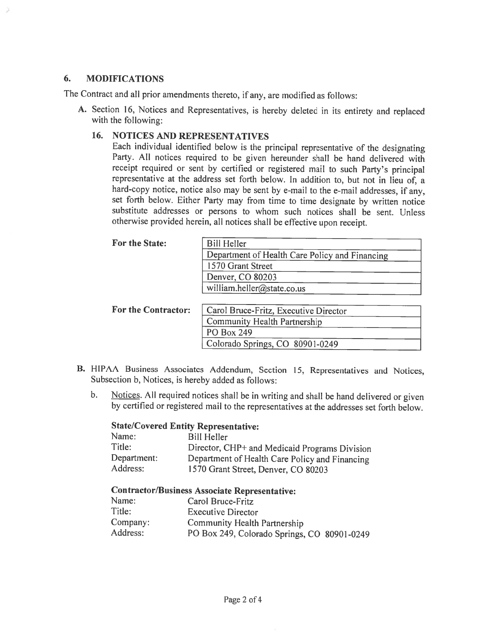#### 6. MODIFICATIONS

The Contract and all prior amendments thereto, if any, are modified as follows:

A. Section 16, Notices and Representatives, is hereby deleted in its entirety and replaced with the following:

### 16. NOTICES AND REPRESENTATIVES

Each individual identified below is the principal representative of the designating Party. All notices required to be <sup>g</sup>iven hereunder shall be hand delivered with receipt required or sent by certified or registered mail to such Party's principal representative at the address set forth below. In addition to, but not in lieu of, <sup>a</sup> hard-copy notice, notice also may be sent by e-mail to the e-mail addresses, if any, set forth below. Either Party may from time to time designate by written notice substitute addresses or persons to whom such notices shall be sent. Unless otherwise provided herein, all notices shall be effective upon receipt.

| For the State:      | <b>Bill Heller</b>                             |
|---------------------|------------------------------------------------|
|                     | Department of Health Care Policy and Financing |
|                     | 1570 Grant Street                              |
|                     | Denver, CO 80203                               |
|                     | william.heller@state.co.us                     |
|                     |                                                |
| For the Contractor: | Carol Bruce-Fritz, Executive Director          |
|                     | Community Health Partnership                   |
|                     | PO Box 249                                     |
|                     | Colorado Springs, CO 80901-0249                |

- B. HIPAA Business Associates Addendum, Section 15, Representatives and Notices, Subsection b, Notices, is hereby added as follows:
	- b. Notices. All required notices shall be in writing and shall be hand delivered or given by certified or registered mail to the representatives at the addresses set forth below.

#### State/Covered Entity Representative:

| Name:       | <b>Bill Heller</b>                             |
|-------------|------------------------------------------------|
| Title:      | Director, CHP+ and Medicaid Programs Division  |
| Department: | Department of Health Care Policy and Financing |
| Address:    | 1570 Grant Street, Denver, CO 80203            |

#### Contractor/Business Associate Representative:

| Carol Bruce-Fritz                           |
|---------------------------------------------|
| <b>Executive Director</b>                   |
| Community Health Partnership                |
| PO Box 249, Colorado Springs, CO 80901-0249 |
|                                             |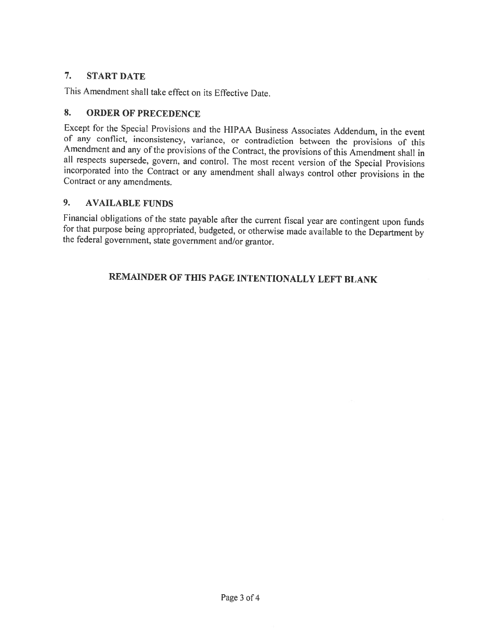# 7. START DATE

This Amendment shall take effect on its Effective Date.

## 8. ORDER OF PRECEDENCE

Except for the Special Provisions and the HIPAA Business Associates Addendum, in the event<br>of any conflict, inconsistency, variance, or contradiction between the provisions of this<br>Amendment and any of the provisions of th

### 9. AVAILABLE FUNDS

Financial obligations of the state payable after the current fiscal year are contingent upon funds for that purpose being appropriated, budgeted, or otherwise made available to the Department by the federal government, sta

# REMAINDER OF THIS PAGE INTENTIONALLY LEFT BLANK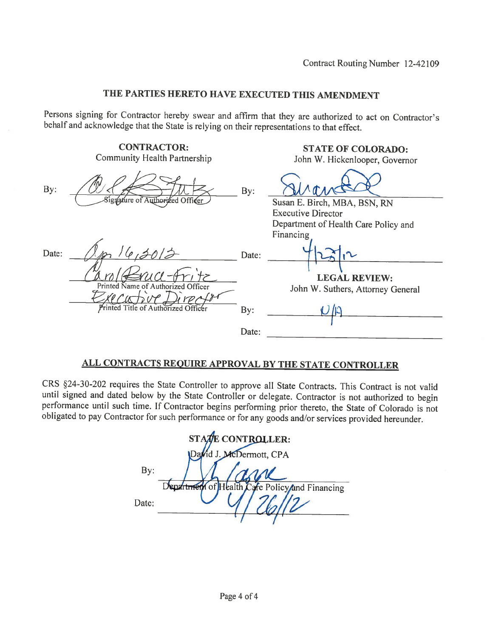# THE PARTIES HERETO HAVE EXECUTED THIS AMENDMENT

Persons signing for Contractor hereby swear and affirm that they are authorized to act on Contractor's behalf and acknowledge that the State is relying on their representations to that effect.

|       | <b>CONTRACTOR:</b><br><b>Community Health Partnership</b> |       | <b>STATE OF COLORADO:</b><br>John W. Hickenlooper, Governor |
|-------|-----------------------------------------------------------|-------|-------------------------------------------------------------|
| By:   | Signature of Authorized Officer                           | By:   | Susan E. Birch, MBA, BSN, RN                                |
|       |                                                           |       | <b>Executive Director</b>                                   |
|       |                                                           |       | Department of Health Care Policy and                        |
|       |                                                           |       | Financing                                                   |
| Date: |                                                           | Date: |                                                             |
|       |                                                           |       | <b>LEGAL REVIEW:</b>                                        |
|       | Printed Name of Authorized Officer                        |       | John W. Suthers, Attorney General                           |
|       |                                                           |       |                                                             |
|       | Printed Title of Authorized Officer                       | By:   |                                                             |
|       |                                                           |       |                                                             |
|       |                                                           | Date: |                                                             |
|       |                                                           |       |                                                             |

# ALL CONTRACTS REQUIRE APPROVAL BY THE STATE CONTROLLER

CRS §24-30-202 requires the State Controller to approve all State Contracts. This Contract is not valid until signed and dated below by the State Controller or delegate. Contractor is not authorized to begin performance until such time. If Contractor begins performing prior thereto, the State of Colorado is not obligated to pay Contractor for such performance or for any goods and/or services provided hereunder.

| STATE CONTROLLER:       |                                                |  |  |
|-------------------------|------------------------------------------------|--|--|
| David J. McDermott, CPA |                                                |  |  |
| By:                     |                                                |  |  |
|                         | Department of Health Care Policy and Financing |  |  |
| Date:                   |                                                |  |  |
|                         |                                                |  |  |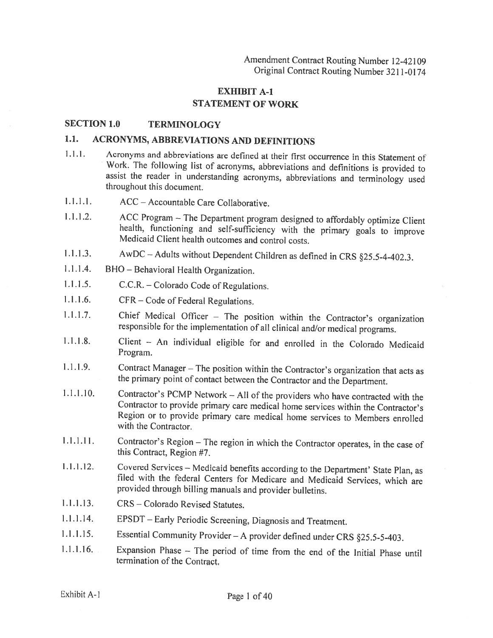### EXHIBIT A-i STATEMENT OF WORK

#### SECTION 1.0 TERMINOLOGY

### 1.1. ACRONYMS, ABBREVIATIONS AND DEFINITIONS

- 1.1.1. Acronyms and abbreviations are defined at their first occurrence in this Statement of Work. The following list of acronyms, abbreviations and definitions is provided to assist the reader in understanding acronyms, abbreviations and terminology used throughout this document.
- 1.1.1.1. ACC Accountable Care Collaborative.
- 1.1.1.2. ACC Program The Department program designed to affordably optimize Client health, functioning and self-sufficiency with the primary goals to improve Medicaid Client health outcomes and control costs.
- 1.1.1.3. AwDC Adults without Dependent Children as defined in CRS §25.5-4-402.3.
- 1.1.1.4. BHO Behavioral Health Organization.
- 1.1.1.5. C.C.R. —Colorado Code of Regulations.
- 1.1.1.6. CFR Code of Federal Regulations.
- 1.1.1.7. Chief Medical Officer The position within the Contractor's organization responsible for the implementation of all clinical and/or medical programs.
- 1.1.1.8. Client An individual eligible for and enrolled in the Colorado Medicaid Program.
- 1.1.1.9. Contract Manager The position within the Contractor's organization that acts as the primary point of contact between the Contractor and the Department.
- 1.1.1.10. Contractor's PCMP Network All of the providers who have contracted with the Contractor to provide primary care medical home services within the Contractor's Region or to provide primary care medical home services to Members enrolled with the Contractor.
- 1.1.1.11. Contractor's Region The region in which the Contractor operates, in the case of this Contract, Region #7.
- 1.1.1.12. Covered Services Medicaid benefits according to the Department' State Plan, as filed with the federal Centers for Medicare and Medicaid Services, which are provided through billing manuals and provider bulletins.
- 1.1.1.13. CRS Colorado Revised Statutes.
- $1.1.1.14.$ EPSDT - Early Periodic Screening, Diagnosis and Treatment.
- 1.1.1.15. Essential Community Provider—A provider defined under CRS §25.5-5-403.
- 1.1.1.16. Expansion Phase The period of time from the end of the Initial Phase until termination of the Contract.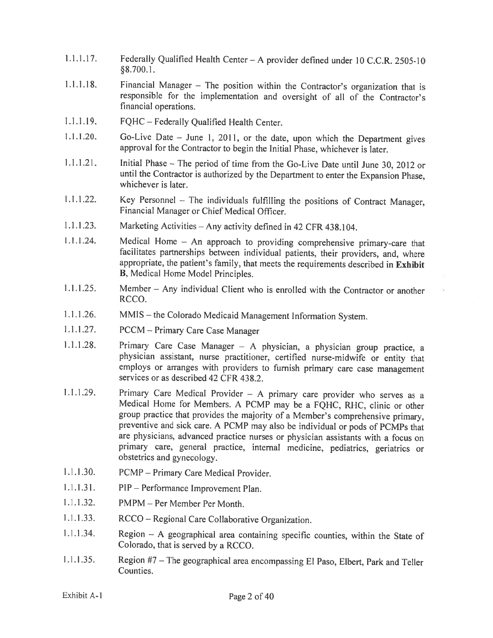- 1.1.1.17. Federally Qualified Health Center—A provider defined under <sup>10</sup> C.C.R. 2505-10 §8.700.1.
- 1.1.1.18. Financial Manager The position within the Contractor's organization that is responsible for the implementation and oversight of all of the Contractor's financial operations.
- 1.1.1.19. FQHC Federally Qualified Health Center.
- 1.1.1.20. Go-Live Date June 1, 2011, or the date, upon which the Department <sup>g</sup>ives approval for the Contractor to begin the Initial Phase, whichever is later.
- 1.1.1.21. Initial Phase The period of time from the Go-Live Date until June 30, <sup>2012</sup> or until the Contractor is authorized by the Department to enter the Expansion Phase, whichever is later.
- .1 .1.22. Key Personnel The individuals fulfilling the positions of Contract Manager, Financial Manager or Chief Medical Officer.
- 1.1.1.23. Marketing Activities Any activity defined in <sup>42</sup> CFR 438.104.
- <sup>1</sup> .1 .1.24. Medical Home An approach to providing comprehensive primary-care that facilitates partnerships between individual patients, their providers, and, where appropriate, the patient's family, that meets the requirements described in Exhibit B, Medical Home Model Principles.
- 1.1.1.25. Member Any individual Client who is enrolled with the Contractor or another RCCO.
- 1.1.1.26. MMIS —the Colorado Medicaid Management Information System.
- 1.1.1.27. PCCM Primary Care Case Manager
- 1.1.1.28. Primary Care Case Manager <sup>A</sup> <sup>p</sup>hysician, <sup>a</sup> <sup>p</sup>hysician group practice, <sup>a</sup> <sup>p</sup>hysician assistant, nurse practitioner, certified nurse-midwife or entity that employs or arranges with providers to furnish primary care case management services or as described 42 CFR 438.2.
- 1.1.1.29. Primary Care Medical Provider <sup>A</sup> primary care provider who serves as <sup>a</sup> Medical Home for Members. <sup>A</sup> PCMP may be <sup>a</sup> FQHC, RHC, clinic or other group practice that provides the majority of <sup>a</sup> Member's comprehensive primary, preventive and sick care. <sup>A</sup> PCMP may also be individual or pods of PCMPs that are <sup>p</sup>hysicians, advanced practice nurses or <sup>p</sup>hysician assistants with <sup>a</sup> focus on primary care, general practice, internal medicine, pediatrics, geriatrics or obstetrics and gynecology.
- 1.1.1.30. PCMP Primary Care Medical Provider.
- 1.1.1.31. PIP Performance Improvement Plan.
- 1.1.1.32. PMPM Per Member Per Month.
- 1.1.1.33. RCCO Regional Care Collaborative Organization.
- 1.1.1.34. Region <sup>A</sup> geographical area containing specific counties, within the State of Colorado, that is served by <sup>a</sup> RCCO.
- 1.1.1.35. Region #7 The geographical area encompassing El Paso, Elbert, Park and Teller Counties.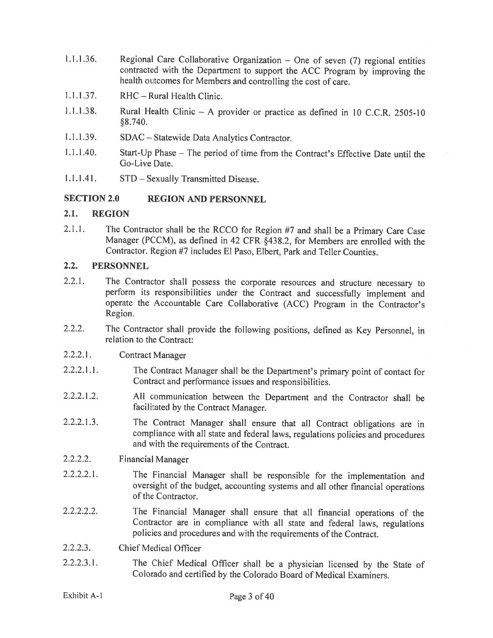- <sup>1</sup> .1 .1 .36. Regional Care Collaborative Organization One of seven (7) regional entities contracted with the Department to support the ACC Program by improving the health outcomes for Members and controlling the cost of care.
- 1.1.1.37. RHC Rural Health Clinic.
- 1.1.1.38. Rural Health Clinic <sup>A</sup> provider or practice as defined in <sup>10</sup> C.C.R. 2505-10 §8.740.
- 1.1.1 .39. SDAC Statewide Data Analytics Contractor.
- 1.1.1.40. Start-Up Phase The period of time from the Contract's Effective Date until the Go-Live Date.
- 1.1.1.41. STD Sexually Transmitted Disease.

#### SECTION 2.0 REGION AND PERSONNEL

#### 2.1. REGION

2.1.1. The Contractor shall be the RCCO for Region #7 and shall be <sup>a</sup> Primary Care Case Manager (PCCM), as defined in 42 CFR §438.2, for Members are enrolled with the Contractor. Region #7 includes El Paso, Elbert, Park and Teller Counties.

#### 2.2. PERSONNEL

- 2.2.1. The Contractor shall possess the corporate resources and structure necessary to perform its responsibilities under the Contract and successfully implement and operate the Accountable Care Collaborative (ACC) Program in the Contractor's Region.
- 2.2.2. The Contractor shall provide the following positions, defined as Key Personnel, in relation to the Contract:
- 2.2.2.1. Contract Manager
- 2.2.2.1.1. The Contract Manager shall be the Department's primary point of contact for Contract and performance issues and responsibilities.
- 2.2.2.1.2. Al! communication between the Department and the Contractor shall be facilitated by the Contract Manager.
- 2.2.2.1.3. The Contract Manager shall ensure that all Contract obligations are in compliance with all state and federal laws, regulations policies and procedures and with the requirements of the Contract.
- 2.2.2.2. Financial Manager
- 2.2.2.2.1. The Financial Manager shall be responsible for the implementation and oversight of the budget, accounting systems and all other financial operations of the Contractor.
- 2.2.2.2.2. The Financial Manager shall ensure that all financial operations of the Contractor are in compliance with all state and federal laws, regulations policies and procedures and with the requirements of the Contract.
- 2.2.2.3. Chief Medical Officer
- 2.2.2.3.1. The Chief Medical Officer shall be <sup>a</sup> <sup>p</sup>hysician licensed by the State of Colorado and certified by the Colorado Board of Medical Examiners.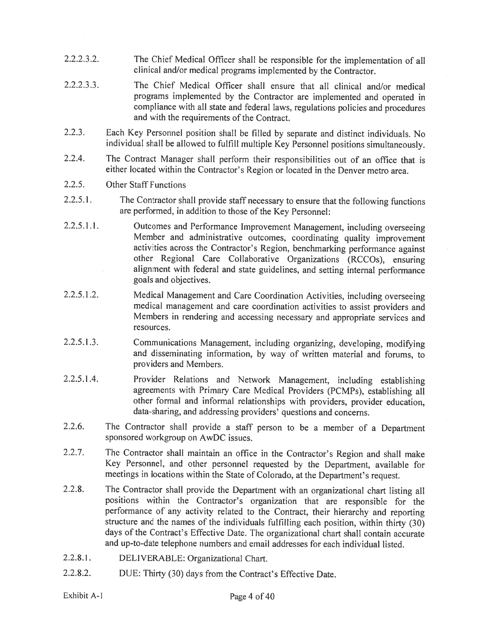- 2.2.2.3.2. The Chief Medical Officer shall be responsible for the implementation of all clinical and/or medical programs implemented by the Contractor.
- 2.2.2.3.3. The Chief Medical Officer shall ensure that all clinical and/or medical programs implemented by the Contractor are implemented and operated in compliance with all state and federal laws, regulations policies and procedures and with the requirements of the Contract.
- 2.2.3. Each Key Personnel position shall be filled by separate and distinct individuals. No individual shall be allowed to fulfill multiple Key Personnel positions simultaneously.
- 2.2.4. The Contract Manager shall perform their responsibilities out of an office that is either located within the Contractor's Region or located in the Denver metro area.

#### 2.2.5. Other Staff Functions

- 2.2.5.1. The Contractor shall provide staff necessary to ensure that the following functions are performed, in addition to those of the Key Personnel:
- 2.2.5.1 .1. Outcomes and Performance Improvement Management, including overseeing Member and administrative outcomes, coordinating quality improvement activities across the Contractor's Region, benchmarking performance against other Regional Care Collaborative Organizations (RCCOs), ensuring alignment with federal and state guidelines, and setting internal performance goals and objectives.
- 2.2.5.1.2. Medical Management and Care Coordination Activities, including overseeing medical management and care coordination activities to assist providers and Members in rendering and accessing necessary and appropriate services and resources.
- 2.2.5.1.3. Communications Management, including organizing, developing, modifying and disseminating information, by way of written material and forums, to providers and Members.
- 2.2.5.1.4. Provider Relations and Network Management, including establishing agreements with Primary Care Medical Providers (PCMPs), establishing all other formal and informal relationships with providers, provider education, data-sharing, and addressing providers' questions and concerns.
- 2.2.6. The Contractor shall provide <sup>a</sup> staff person to be <sup>a</sup> member of <sup>a</sup> Department sponsored workgroup on AwDC issues.
- 2.2.7. The Contractor shall maintain an office in the Contractor's Region and shall make Key Personnel, and other personnel requested by the Department, available for meetings in locations within the State of Colorado, at the Department's request.
- 2.2.8. The Contractor shall provide the Department with an organizational chart listing all positions within the Contractor's organization that are responsible for the performance of any activity related to the Contract, their hierarchy and reporting structure and the names of the individuals fulfilling each position, within thirty (30) days of the Contract's Effective Date. The organizational chart shall contain accurate and up-to-date telephone numbers and email addresses for each individual listed.
- 2.2.8.1. DELIVERABLE: Organizational Chart.
- 2.2.8.2. DUE: Thirty (30) days from the Contract's Effective Date.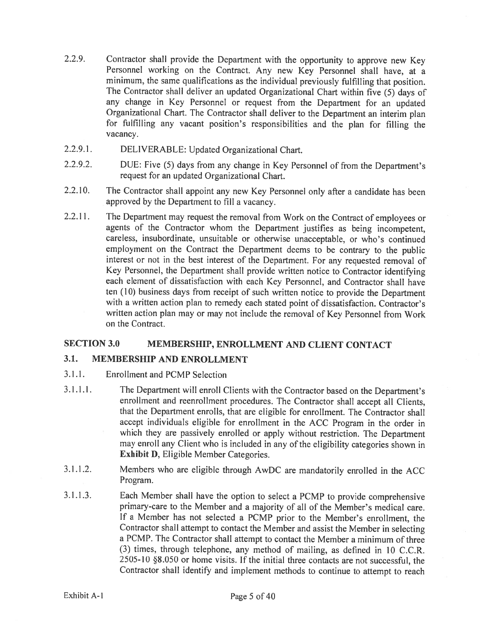- 2.2.9. Contractor shall provide the Department with the opportunity to approve new Key Personnel working on the Contract. Any new Key Personnel shall have, at <sup>a</sup> minimum, the same qualifications as the individual previously fulfilling that position. The Contractor shall deliver an updated Organizational Chart within five (5) days of any change in Key Personnel or request from the Department for an updated Organizational Chart. The Contractor shall deliver to the Department an interim <sup>p</sup>lan for fulfilling any vacant position's responsibilities and the <sup>p</sup>lan for filling the vacancy.
- 2.2.9.1. DELIVERABLE: Updated Organizational Chart.
- 2.2.9.2. DUE: Five (5) days from any change in Key Personnel of from the Department's request for an updated Organizational Chart.
- 2.2.10. The Contractor shall appoint any new Key Personnel only after <sup>a</sup> candidate has been approved by the Department to fill <sup>a</sup> vacancy.
- 2.2.11. The Department may request the removal from Work on the Contract of employees or agents of the Contractor whom the Department justifies as being incompetent, careless, insubordinate, unsuitable or otherwise unacceptable, or who's continued employment on the Contract the Department deems to be contrary to the public interest or not in the best interest of the Department. For any requested removal of Key Personnel, the Department shall provide written notice to Contractor identifying each element of dissatisfaction with each Key Personnel, and Contractor shall have ten (10) business days from receipt of such written notice to provide the Department with <sup>a</sup> written action <sup>p</sup>lan to remedy each stated point of dissatisfaction. Contractor's written action <sup>p</sup>lan may or may not include the removal of Key Personnel from Work on the Contract.

### SECTION 3.0 MEMBERSHIP, ENROLLMENT AND CLIENT CONTACT

#### 3.1. MEMBERSHIP AND ENROLLMENT

- 3.1.1. Enrollment and PCMP Selection
- 3.1.1.1. The Department will enroll Clients with the Contractor based on the Department's enrollment and reenrollment procedures. The Contractor shall accept all Clients, that the Department enrolls, that are eligible for enrollment. The Contractor shall accept individuals eligible for enrollment in the ACC Program in the order in which they are passively enrolled or apply without restriction. The Department may enroll any Client who is included in any of the eligibility categories shown in Exhibit D, Eligible Member Categories.
- 3.1.1.2. Members who are eligible through AwDC are mandatorily enrolled in the ACC Program.
- 3.1.1.3. Each Member shall have the option to select <sup>a</sup> PCMP to provide comprehensive primary-care to the Member and <sup>a</sup> majority of all of the Member's medical care. If <sup>a</sup> Member has not selected <sup>a</sup> PCMP prior to the Member's enrollment, the Contractor shall attempt to contact the Member and assist the Member in selecting <sup>a</sup> PCMP. The Contractor shall attempt to contact the Member <sup>a</sup> minimum of three (3) times, through telephone, any method of mailing, as defined in <sup>10</sup> C.C.R. 2505-10 §8.050 or home visits. If the initial three contacts are not successful, the Contractor shall identify and implement methods to continue to attempt to reach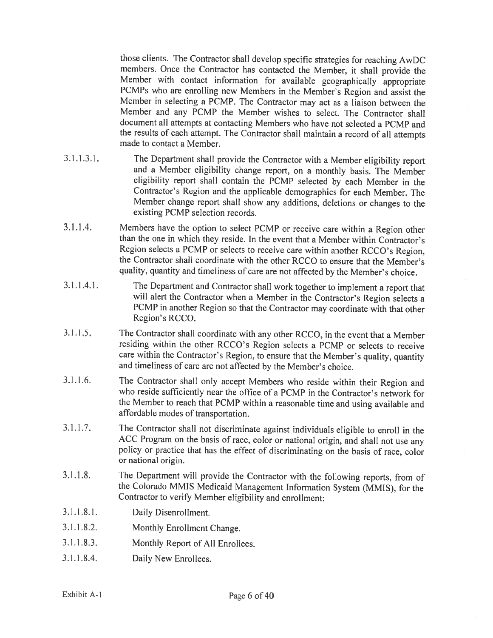those clients. The Contractor shall develop specific strategies for reaching AwDC members. Once the Contractor has contacted the Member, it shall provide the Member with contact information for available geographically appropriate PCMPs who are enrolling new Members in the Member's Region and assist the Member in selecting <sup>a</sup> PCMP. The Contractor may act as <sup>a</sup> liaison between the Member and any PCMP the Member wishes to select. The Contractor shall document all attempts at contacting Members who have not selected <sup>a</sup> PCMP and the results of each attempt. The Contractor shall maintain <sup>a</sup> record of all attempts made to contact <sup>a</sup> Member.

- 3.1.1.3.1. The Department shall provide the Contractor with <sup>a</sup> Member eligibility report and <sup>a</sup> Member eligibility change report, on <sup>a</sup> monthly basis. The Member eligibility report shall contain the PCMP selected by each Member in the Contractor's Region and the applicable demographics for each Member. The Member change report shall show any additions, deletions or changes to the existing PCMP selection records.
- 3.1.1.4. Members have the option to select PCMP or receive care within <sup>a</sup> Region other than the one in which they reside. In the event that <sup>a</sup> Member within Contractor's Region selects <sup>a</sup> PCMP or selects to receive care within another RCCO's Region, the Contractor shall coordinate with the other RCCO to ensure that the Member's quality, quantity and timeliness of care are not affected by the Member's choice.
- 3.1.1.4.1. The Department and Contractor shall work together to implement <sup>a</sup> report that will alert the Contractor when <sup>a</sup> Member in the Contractor's Region selects <sup>a</sup> PCMP in another Region so that the Contractor may coordinate with that other Region's RCCO.
- 3.1.1.5. The Contractor shall coordinate with any other RCCO, in the event that <sup>a</sup> Member residing within the other RCCO's Region selects <sup>a</sup> PCMP or selects to receive care within the Contractor's Region, to ensure that the Member's quality, quantity and timeliness of care are not affected by the Member's choice.
- 3.1.1.6. The Contractor shall only accept Members who reside within their Region and who reside sufficiently near the office of <sup>a</sup> PCMP in the Contractor's network for the Member to reach that PCMP within <sup>a</sup> reasonable time and using available and affordable modes of transportation.
- 3.1.1.7. The Contractor shall not discriminate against individuals eligible to enroll in the ACC Program on the basis of race, color or national origin, and shall not use any policy or practice that has the effect of discriminating on the basis of race, color or national origin.
- 3.1.1.8. The Department will provide the Contractor with the following reports, from of the Colorado MMIS Medicaid Management Information System (MMIS), for the Contractor to verify Member eligibility and enrollment:
- 3.1.1.8.1. Daily Disenrollment.
- 3.1.1.8.2. Monthly Enrollment Change.
- 3.1.1.8.3. Monthly Report of All Enrollees.
- 3.1.1.8.4. Daily New Enrollees.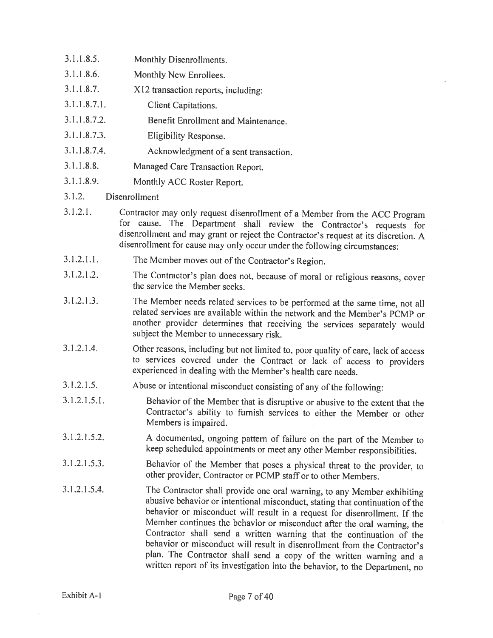3.1.1.8.5. Monthly Disenrollments. 3.1.1.8.6. Monthly New Enrollees. 3.1.1.8.7. X12 transaction reports, including: 3.1.1.8.7.1. Client Capitations. 3.1.1.8.7.2. Benefit Enrollment and Maintenance. 3.1.1 .8.7.3. Eligibility Response. 3.1 .1 .8.7.4. Acknowledgment of <sup>a</sup> sent transaction. 3.1.1.8.8. Managed Care Transaction Report. 3.1.1.8.9. Monthly ACC Roster Report.

#### 3.1 .2. Disenrollment

- 3.1.2.1. Contractor may only request disenroliment of <sup>a</sup> Member from the ACC Program for cause. The Department shall review the Contractor's requests for disenroilment and may grant or reject the Contractor's request at its discretion. <sup>A</sup> disenrollment for cause may only occur under the following circumstances:
- 3.1.2.1.1. The Member moves out of the Contractor's Region.
- 3.1.2.1.2. The Contractor's <sup>p</sup>lan does not, because of moral or religious reasons, cover the service the Member seeks.
- 3.1.2.1.3. The Member needs related services to be performed at the same time, not all related services are available within the network and the Member's PCMP or another provider determines that receiving the services separately would subject the Member to unnecessary risk.
- 3.1 .2.1 .4. Other reasons, including but not limited to, poor quality of care, lack of access to services covered under the Contract or lack of access to providers experienced in dealing with the Member's health care needs.
- 3.1.2.1.5. Abuse or intentional misconduct consisting of any of the following:
- 3.1.2.1.5.1. Behavior of the Member that is disruptive or abusive to the extent that the Contractor's ability to furnish services to either the Member or other Members is impaired.
- 3.1.2.1.5.2. <sup>A</sup> documented, ongoing pattern of failure on the part of the Member to keep scheduled appointments or meet any other Member responsibilities.
- 3.1.2.1.5.3. Behavior of the Member that poses <sup>a</sup> <sup>p</sup>hysical threat to the provider, to other provider, Contractor or PCMP staff or to other Members.
- 3.1.2.1.5.4. The Contractor shall provide one oral warning, to any Member exhibiting abusive behavior or intentional misconduct, stating that continuation of the behavior or misconduct will result in <sup>a</sup> request for disenroliment. If the Member continues the behavior or misconduct after the oral warning, the Contractor shall send <sup>a</sup> written warning that the continuation of the behavior or misconduct will result in disenroliment from the Contractor's <sup>p</sup>lan. The Contractor shall send <sup>a</sup> copy of the written warning and <sup>a</sup> written report of its investigation into the behavior, to the Department, no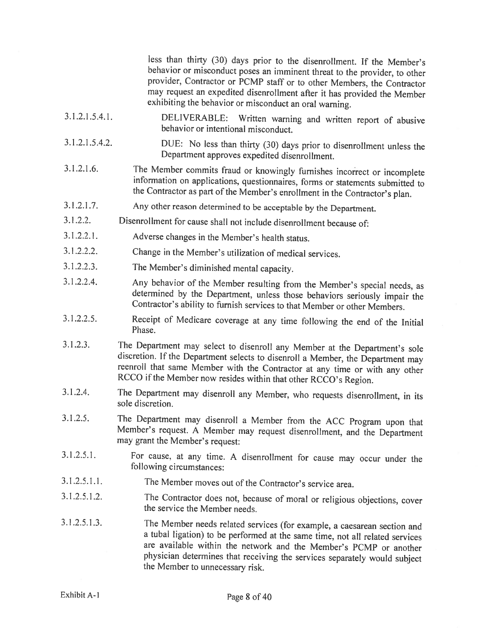less than thirty (30) days prior to the disenrollment. If the Member's behavior or misconduct poses an imminent threat to the provider, to other provider, Contractor or PCMP staff or to other Members, the Contractor may request an expedited disenroilment after it has provided the Member exhibiting the behavior or misconduct an oral warning. 3.1.2.1.5.4.1. DELIVERABLE: Written warning and written report of abusive behavior or intentional misconduct. 3.1.2.1.5.4.2. DUE: No less than thirty (30) days prior to disenrollment unless the Department approves expedited disenroilment. 3.1.2.1.6. The Member commits fraud or knowingly furnishes incorrect or incomplete information on applications, questionnaires, forms or statements submitted to the Contractor as part of the Member's enrollment in the Contractor's <sup>p</sup>lan. 3.1.2.1.7. Any other reason determined to be acceptable by the Department. 3.1.2.2. Disenrollment for cause shall not include disenroliment because of: 3.1.2.2.1. Adverse changes in the Member's health status. 3.1.2.2.2. Change in the Member's utilization of medical services. 3.1.2.2.3. The Member's diminished mental capacity. 3.1.2.2.4. Any behavior of the Member resulting from the Member's special needs, as determined by the Department, unless those behaviors seriously impair the Contractor's ability to furnish services to that Member or other 3.1.2.2.5. Receipt of Medicare coverage at any time following the end of the Initial Phase. 3.1.2.3. The Department may select to disenroll any Member at the Department's sole discretion. If the Department selects to disenroll a Member, the Department may reenroll that same Member with the Contractor at any time 3.1.2.4. The Department may disenroll any Member, who requests disenrollment, in its sole discretion. 3.1.2.5. The Department may disenroll <sup>a</sup> Member from the ACC Program upon that Member's request. <sup>A</sup> Member may request disenrollment, and the Department may grant the Member's request: 3.1.2.5.1. For cause, at any time. <sup>A</sup> disenrollment for cause may occur under the following circumstances:

- 3.1.2.5.1.1. The Member moves out of the Contractor's service area.
- 3.1.2.5.1.2. The Contractor does not, because of moral or religious objections, cover the service the Member needs.
- 3.1.2.5.1.3. The Member needs related services (for example, <sup>a</sup> caesarean section and <sup>a</sup> tubal ligation) to be performed at the same time, not all related services are available within the network and the Member's PCMP or another <sup>p</sup>hysician determines that receiving the services separately would subject the Member to unnecessary risk.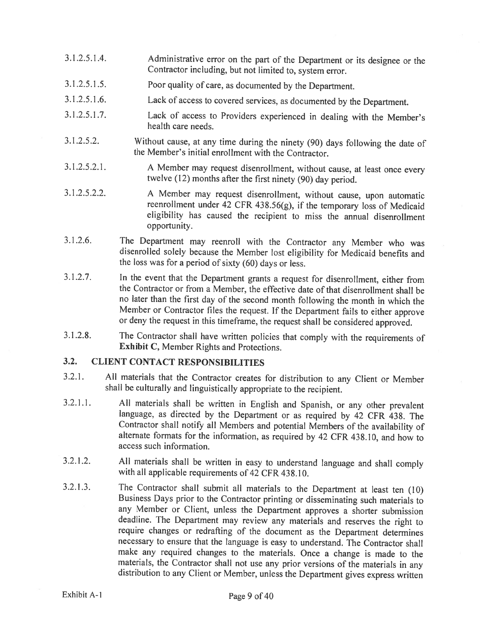- 3.1.2.5.1.4. Administrative error on the part of the Department or its designee or the Contractor including, but not limited to, system error.
- 3.1.2.5.1.5. Poor quality of care, as documented by the Department.
- 3.1.2.5.1 .6. Lack of access to covered services, as documented by the Department.
- 3.1 .2.5.1.7. Lack of access to Providers experienced in dealing with the Member's health care needs.
- 3.1.2.5.2. Without cause, at any time during the ninety (90) days following the date of the Member's initial enrollment with the Contractor.
- 3.1.2.5.2.1. <sup>A</sup> Member may request disenroliment, without cause, at least once every twelve (12) months after the first ninety (90) day period.
- 3.1.2.5.2.2. <sup>A</sup> Member may request disenroliment, without cause, upon automatic reenroliment under <sup>42</sup> CFR 438.56(g), if the temporary loss of Medicaid eligibility has caused the recipient to miss the annual disenrollment opportunity.
- 3.1 .2.6. The Department may reenroll with the Contractor any Member who was disenrolled solely because the Member lost eligibility for Medicaid benefits and the loss was for <sup>a</sup> period of sixty (60) days or less.
- 3.1.2.7. In the event that the Department grants <sup>a</sup> request for disenroliment, either from the Contractor or from <sup>a</sup> Member, the effective date of that disenroilment shall be no later than the first day of the second month following the month in which the Member or Contractor files the request. If the Department fails to either approve or deny the request in this timeframe, the request shall be considered approved.
- 3.1.2.8. The Contractor shall have written policies that comply with the requirements of Exhibit C, Member Rights and Protections.

# 3.2. CLIENT CONTACT RESPONSIBILITIES

- 3.2.1. All materials that the Contractor creates for distribution to any Client or Member shall be culturally and linguistically appropriate to the recipient.
- 3.2.1.1. All materials shall be written in English and Spanish, or any other prevalent language, as directed by the Department or as required by 42 CFR 438. The Contractor shall notify all Members and potential Members of the availability of alternate formats for the information, as required by 42 CFR 438.10, and how to access such information.
- 3.2.1.2. All materials shall be written in easy to understand language and shall comply with all applicable requirements of <sup>42</sup> CFR 438.10.
- 3.2.1.3. The Contractor shall submit all materials to the Department at least ten (10) Business Days prior to the Contractor printing or disseminating such materials to any Member or Client, unless the Department approves <sup>a</sup> shorter submission deadline. The Department may review any materials and reserves the right to require changes or redrafting of the document as the Department determines necessary to ensure that the language is easy to understand. The Contractor shall make any required changes to the materials. Once a change is made to the materials, the Contractor shall not use any prior versions of the materials in any distribution to any Client or Member, unless the Department gives express written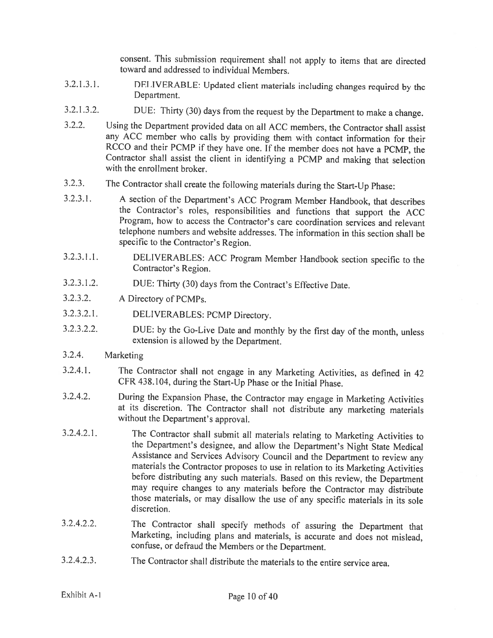consent. This submission requirement shall not apply to items that are directed toward and addressed to individual Members.

- 3.2.1.3.1. DELIVERABLE: Updated client materials including changes required by the Department.
- 3.2.1.3.2. DUE: Thirty (30) days from the request by the Department to make <sup>a</sup> change.
- 3.2.2. Using the Department provided data on all ACC members, the Contractor shall assist any ACC member who calls by providing them with contact information for their RCCO and their PCMP if they have one. If the member does not have <sup>a</sup> PCMP, the Contractor shall assist the client in identifying <sup>a</sup> PCMP and making that selection with the enrollment broker.
- 3.2.3. The Contractor shall create the following materials during the Start-Up Phase:
- 3.2.3.1. <sup>A</sup> section of the Department's ACC Program Member Handbook, that describes the Contractor's roles, responsibilities and functions that support the ACC Program, how to access the Contractor's care coordination services and relevant telephone numbers and website addresses. The information in this section shall be specific to the Contractor's Region.
- $3.2.3.1.1.$ DELIVERABLES: ACC Program Member Handbook section specific to the Contractor's Region.
- 3.2.3.1.2. DUE: Thirty (30) days from the Contract's Effective Date.
- 3.2.3.2. <sup>A</sup> Directory of PCMPs.
- 3.2.3.2.1. DELIVERABLES: PCMP Directory.
- 3.2.3.2.2. DUE: by the Go-Live Date and monthly by the first day of the month, unless extension is allowed by the Department.
- 3.2.4. Marketing
- 3.2.4.1. The Contractor shall not engage in any Marketing Activities, as defined in <sup>42</sup> CFR 438.104, during the Start-Up Phase or the Initial Phase.
- 3.2.4.2. During the Expansion Phase, the Contractor may engage in Marketing Activities at its discretion. The Contractor shall not distribute any marketing materials without the Department's approval.
- 3.2.4.2.1. The Contractor shall submit all materials relating to Marketing Activities to the Department's designee, and allow the Department's Night State Medical materials the Contractor proposes to use in relation to its Marketing Activities<br>before distributing any such materials. Based on this review, the Department<br>may require changes to any materials before the Contractor may d those materials, or may disallow the use of any specific materials in its sole discretion.
- 3.2.4.2.2. The Contractor shall specify methods of assuring the Department that Marketing, including <sup>p</sup>lans and materials, is accurate and does not mislead, confuse, or defraud the Members or the Department.
- 3.2.4.2.3. The Contractor shall distribute the materials to the entire service area.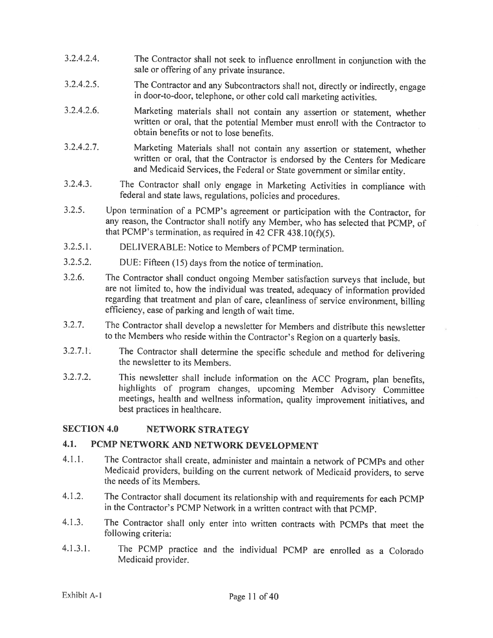- 3.2.4.2.4. The Contractor shall not seek to influence enrollment in conjunction with the sale or offering of any private insurance.
- 3.2.4.2.5. The Contractor and any Subcontractors shall not, directly or indirectly, engage in door-to-door, telephone, or other cold call marketing activities.
- 3.2.4.2.6. Marketing materials shall not contain any assertion or statement, whether written or oral, that the potential Member must enroll with the Contractor to obtain benefits or not to lose benefits.
- 3.2.4.2.7. Marketing Materials shall not contain any assertion or statement, whether written or oral, that the Contractor is endorsed by the Centers for Medicare and Medicaid Services, the Federal or State government or similar entity.
- 3.2.4.3. The Contractor shall only engage in Marketing Activities in compliance with federal and state laws, regulations, policies and procedures.
- 3.2.5. Upon termination of <sup>a</sup> PCMP's agreement or participation with the Contractor, for any reason, the Contractor shall notify any Member, who has selected that PCMP, of that PCMP's termination, as required in 42 CFR 438.10(f)(5).
- 3.2.5.1. DELIVERABLE: Notice to Members of PCMP termination.
- 3.2.5.2. DUE: Fifteen (15) days from the notice of termination.
- 3.2.6. The Contractor shall conduct ongoing Member satisfaction surveys that include, but are not limited to. how the individual was treated, adequacy of information provided regarding that treatment and <sup>p</sup>lan of care, cleanliness of service environment, billing efficiency, ease of parking and length of wait time.
- 3.2.7. The Contractor shall develop <sup>a</sup> newsletter for Members and distribute this newsletter to the Members who reside within the Contractor's Region on <sup>a</sup> quarterly basis.
- 3.2.7.1. The Contractor shall determine the specific schedule and method for delivering the newsletter to its Members.
- 3.2.7.2. This newsletter shall include information on the ACC Program, <sup>p</sup>lan benefits, highlights of program changes, upcoming Member Advisory Committee meetings, health and weilness information, quality improvement initiatives, and best practices in healthcare.

### SECTION 4.0 NETWORK STRATEGY

### 4.1. PCMP NETWORK AND NETWORK DEVELOPMENT

- 4.1.1. The Contractor shall create, administer and maintain <sup>a</sup> network of PCMPs and other Medicaid providers, building on the current network of Medicaid providers, to serve the needs of its Members.
- 4.1.2. The Contractor shall document its relationship with and requirements for each PCMP in the Contractor's PCMP Network in <sup>a</sup> written contract with that PCMP.
- 4.1.3. The Contractor shall only enter into written contracts with PCMPs that meet the following criteria:
- 4.1.3.1. The PCMP practice and the individual PCMP are enrolled as <sup>a</sup> Colorado Medicaid provider.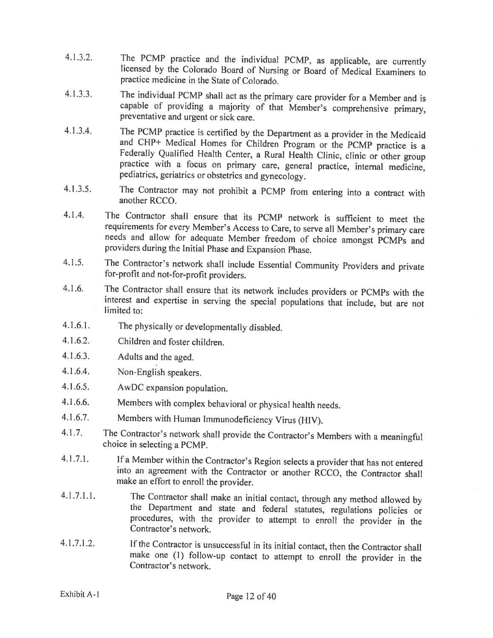- 4.1.3.2. The PCMP practice and the individual PCMP, as applicable, are currently licensed by the Colorado Board of Nursing or Board of Medical Examiners to practice medicine in the State of Colorado.
- 4.1.3.3. The individual PCMP shall act as the primary care provider for <sup>a</sup> Member and is capable of providing <sup>a</sup> majority of that Member's comprehensive primary, preventative and urgent or sick care.
- 4.1.3.4. The PCMP practice is certified by the Department as a provider in the Medicaid and CHP+ Medical Homes for Children Program or the PCMP practice is a Federally Qualified Health Center, a Rural Health Clinic, clinic
- 4.1.3.5. The Contractor may not prohibit <sup>a</sup> PCMP from entering into <sup>a</sup> contract with another RCCO.
- 4.1.4. The Contractor shall ensure that its PCMP network is sufficient to meet the requirements for every Member's Access to Care, to serve all Member's primary care needs and allow for adequate Member freedom of choice amongst PCMPs and providers during the Initial Phase and Expansion Phase.
- 4.1.5. The Contractor's network shall include Essential Community Providers and private for-profit and not-for-profit providers.
- 4.1 .6. The Contractor shall ensure that its network includes providers or PCMPs with the interest and expertise in serving the special populations that include, but are not limited to:
- 4.1 .6.1. The <sup>p</sup>hysically or developmentally disabled.
- 4.1.6.2. Children and foster children.
- 4.1 .6.3. Adults and the aged.
- 4.1 .6.4. Non-English speakers.
- 4.1.6.5. AwDC expansion population.
- 4.1.6.6. Members with complex behavioral or <sup>p</sup>hysical health needs.
- 4.1.6.7. Members with Human Immunodeficiency Virus (HIV).
- 4.1.7. The Contractor's network shall provide the Contractor's Members with <sup>a</sup> meaningful choice in selecting <sup>a</sup> PCMP.
- 4.1.7.1. If <sup>a</sup> Member within the Contractor's Region selects <sup>a</sup> provider that has not entered into an agreement with the Contractor or another RCCO, the Contractor shall make an effort to enroll the provider.
- 4.1.7.1.1. The Contractor shall make an initial contact, through any method allowed by the Department and state and federal statutes, regulations policies or procedures, with the provider to attempt to enroll the provider
- 4.1 .7.1 .2. If the Contractor is unsuccessful in its initial contact, then the Contractor shall make one (1) follow-up contact to attempt to enroll the provider in the Contractor's network.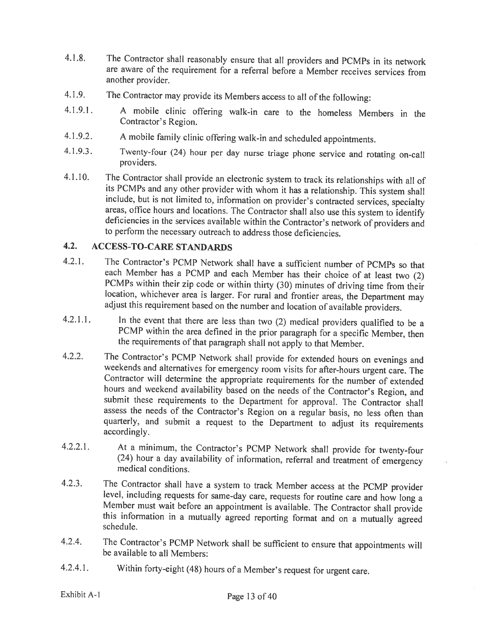- 4.1 .8. The Contractor shall reasonably ensure that all providers and PCMPs in its network are aware of the requirement for <sup>a</sup> referral before <sup>a</sup> Member receives services from another provider.
- 4.1.9. The Contractor may provide its Members access to all of the following:
- 4.1.9.1. <sup>A</sup> mobile clinic offering walk-in care to the homeless Members in the Contractor's Region.
- 4.1.9.2. <sup>A</sup> mobile family clinic offering walk-in and scheduled appointments.
- 4.1.9.3. Twenty-four (24) hour per day nurse triage <sup>p</sup>hone service and rotating on-call providers.
- 4.1.10. The Contractor shall provide an electronic system to track its relationships with all of its PCMPs and any other provider with whom it has a relationship. This system shall include, but is not limited to, informati deficiencies in the services available within the Contractor's network of providers and to perform the necessary outreach to address those deficiencies.

# 4.2. ACCESS-TO-CARE STANDARDS

- 4.2.1. The Contractor's PCMP Network shall have a sufficient number of PCMPs so that each Member has a PCMP and each Member has their choice of at least two (2) PCMPs within their zip code or within thirty (30) minutes of driving time from their location, whichever area is larger. For rural and frontier areas, the Department may adjust this requirement based on the number and loca
- 4.2.1.1. In the event that there are less than two (2) medical providers qualified to be a PCMP within the area defined in the prior paragraph for a specific Member, then the requirements of that paragraph shall not apply
- 4.2.2. The Contractor's PCMP Network shall provide for extended hours on evenings and weekends and alternatives for emergency room visits for after-hours urgent care. The Contractor will determine the appropriate requireme submit these requirements to the Department for approval. The Contractor shall assess the needs of the Contractor's Region on <sup>a</sup> regular basis, no less often than quarterly, and submit <sup>a</sup> request to the Department to adjust its requirements accordingly.
- 4.2.2.1. At <sup>a</sup> minimum, the Contractor's PCMP Network shall provide for twenty-four (24) hour <sup>a</sup> day availability of information, referral and treatment of emergency medical conditions.
- 4.2.3. The Contractor shall have a system to track Member access at the PCMP provider<br>level, including requests for same-day care, requests for routine care and how long a<br>Member must wait before an appointment is availabl
- 4.2.4. The Contractor's PCMP Network shall be sufficient to ensure that appointments will be available to all Members:
- 4.2.4.1. Within forty-eight (48) hours of <sup>a</sup> Member's request for urgent care.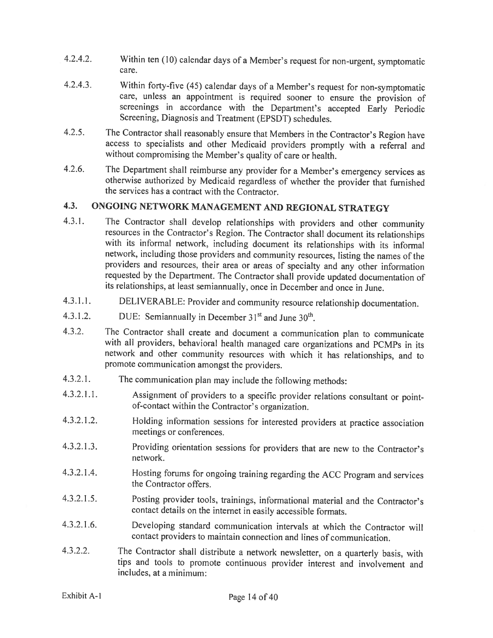- 4.2.4.2. Within ten (10) calendar days of <sup>a</sup> Member's request for non-urgent, symptomatic care.
- 4.2.4.3. Within forty-five (45) calendar days of <sup>a</sup> Member's request for non-symptomatic care, unless an appointment is required sooner to ensure the provision of screenings in accordance with the Department's accepted Early Periodic Screening, Diagnosis and Treatment (EPSDT) schedules.
- 4.2.5. The Contractor shall reasonably ensure that Members in the Contractor's Region have access to specialists and other Medicaid providers promptly with <sup>a</sup> referral and without compromising the Member's quality of care or health.
- 4.2.6. The Department shall reimburse any provider for a Member's emergency services as otherwise authorized by Medicaid regardless of whether the provider that furnished the services has <sup>a</sup> contract with the Contractor.

# 4.3. ONGOING NETWORK MANAGEMENT AND REGIONAL STRATEGY

- 4.3.!. The Contractor shall develop relationships with providers and other community resources in the Contractor's Region. The Contractor shall document its relationships with its informal network, including document its relationships with its informal network, including those providers and community resources, listing the names of the providers and resources, their area or areas of specialty and any other information requested by the Department. The Contractor shall provide updated documentation of its relationships, at least semiannually, once in December and once in June.
- 4.3.1.1. DELIVERABLE: Provider and community resource relationship documentation.
- 4.3.1.2. DUE: Semiannually in December  $31<sup>st</sup>$  and June  $30<sup>th</sup>$ .
- 4.3.2. The Contractor shall create and document <sup>a</sup> communication <sup>p</sup>lan to communicate with all providers, behavioral health managed care organizations and PCMPs in its network and other community resources with which it has relationships, and to promote communication amongst the providers.
- 4.3.2.1. The communication <sup>p</sup>lan may include the following methods:
- 4.3.2.1.1. Assignment of providers to a specific provider relations consultant or pointof-contact within the Contractor's organization.
- 4.3.2.1.2. Holding information sessions for interested providers at practice association meetings or conferences.
- 4.3.2.1.3. Providing orientation sessions for providers that are new to the Contractor's network.
- 4.3.2.1.4. Hosting forums for ongoing training regarding the ACC Program and services the Contractor offers.
- 4.3.2.1 .5. Posting provider tools, trainings, informational material and the Contractor's contact details on the internet in easily accessible formats.
- 4.3.2.1.6. Developing standard communication intervals at which the Contractor will contact providers to maintain connection and lines of communication.
- 4.3.2.2. The Contractor shall distribute <sup>a</sup> network newsletter, on <sup>a</sup> quarterly basis, with tips and tools to promote continuous provider interest and involvement and includes, at <sup>a</sup> minimum: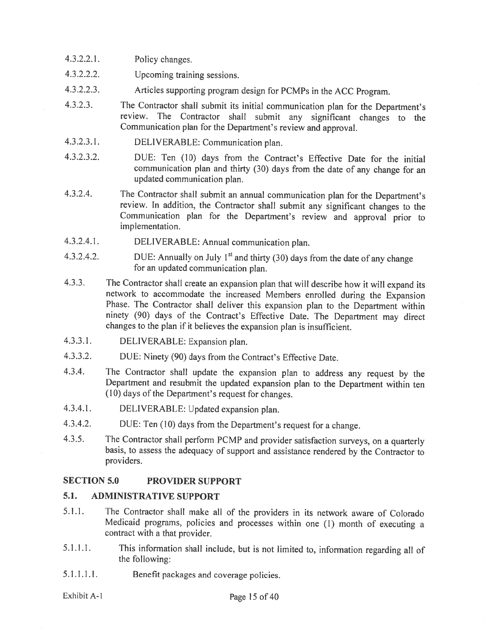- 4.3.2.2.1. Policy changes.
- 4.3.2.2.2. Upcoming training sessions.
- 4.3.2.2.3. Articles supporting program design for PCMPs in the ACC Program.
- 4.3.2.3. The Contractor shall submit its initial communication <sup>p</sup>lan for the Department's review. The Contractor shall submit any significant changes to the Communication <sup>p</sup>lan for the Department's review and approval.
- 4.3.2.3.1. DELIVERABLE: Communication <sup>p</sup>lan.
- 4.3.2.3.2. DUE: Ten (10) days from the Contract's Effective Date for the initial communication <sup>p</sup>lan and thirty (30) days from the date of any change for an updated communication plan.
- 4.3.2.4. The Contractor shall submit an annual communication <sup>p</sup>lan for the Department's review. In addition, the Contractor shall submit any significant changes to the Communication <sup>p</sup>lan for the Department's review and approval prior to implementation.
- 4.3.2.4.1. DELIVERABLE: Annual communication <sup>p</sup>lan.
- 4.3.2.4.2. DUE: Annually on July  $1^{st}$  and thirty (30) days from the date of any change for an updated communication <sup>p</sup>lan.
- $4.3.3.$ The Contractor shall create an expansion <sup>p</sup>lan that will describe how it will expand its network to accommodate the increased Members enrolled during the Expansion Phase. The Contractor shall deliver this expansion <sup>p</sup>lan to the Department within ninety (90) days of the Contract's Effective Date. The Department may direct changes to the <sup>p</sup>lan if it believes the expansion <sup>p</sup>lan is insufficient.
- 4.3.3.1. DELIVERABLE: Expansion <sup>p</sup>lan.
- 4.3.3.2. DUE: Ninety (90) days from the Contract's Effective Date.
- 4.3.4. The Contractor shall update the expansion <sup>p</sup>lan to address any request by the Department and resubmit the updated expansion <sup>p</sup>lan to the Department within ten (10) days of the Department's request for changes.
- 4.3.4.1. DELIVERABLE: Updated expansion <sup>p</sup>lan.
- 4.3.4.2. DUE: Ten (10) days from the Department's request for <sup>a</sup> change.
- 4.3.5. The Contractor shall perform PCMP and provider satisfaction surveys, on <sup>a</sup> quarterly basis, to assess the adequacy of support and assistance rendered by the Contractor to providers.

#### SECTION 5.0 PROVIDER SUPPORT

#### 5.1. ADMINISTRATIVE SUPPORT

- 5.1.1. The Contractor shall make all of the providers in its network aware of Colorado Medicaid programs, policies and processes within one (1) month of executing <sup>a</sup> contract with <sup>a</sup> that provider.
- 5.1.1.1. This information shall include, but is not limited to, information regarding all of the following:
- 5.1.1.1.1. Benefit packages and coverage policies.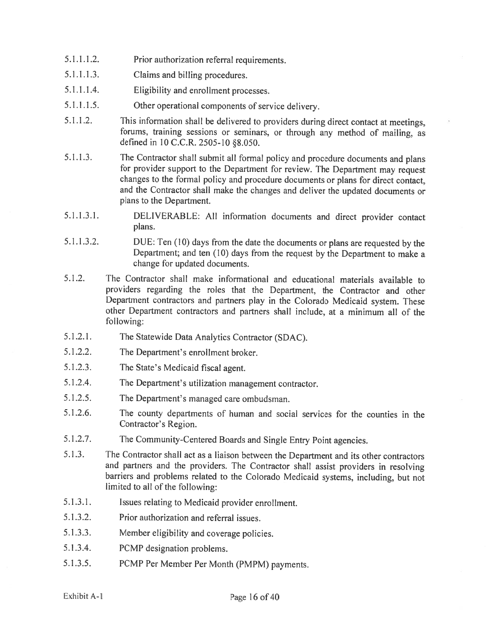- 5.1.1.1.2. Prior authorization referral requirements.
- 5.1.1.1.3. Claims and billing procedures.
- 5.1.1.1 .4. Eligibility and enrollment processes.
- 5.1.1.1.5. Other operational components of service delivery.
- 5.1.1.2. This information shall be delivered to providers during direct contact at meetings, forums, training sessions or seminars, or through any method of mailing, as defined in 10 C.C.R. 2505-10 §8.050.
- 5.1.1.3. The Contractor shall submit all formal policy and procedure documents and <sup>p</sup>lans for provider support to the Department for review. The Department may request changes to the formal policy and procedure documents or <sup>p</sup>lans for direct contact, and the Contractor shall make the changes and deliver the updated documents or plans to the Department.
- 5.1.1.3.1. DELIVERABLE: All information documents and direct provider contact plans.
- 5.1.1.3.2. DUE: Ten (10) days from the date the documents or <sup>p</sup>lans are requested by the Department; and ten (10) days from the request by the Department to make <sup>a</sup> change for updated documents.
- 5.1 .2. The Contractor shall make informational and educational materials available to providers regarding the roles that the Department, the Contractor and other Department contractors and partners <sup>p</sup>lay in the Colorado Medicaid system. These other Department contractors and partners shall include, at <sup>a</sup> minimum all of the following:
- 5.1.2.1. The Statewide Data Analytics Contractor (SDAC).
- 5.1.2.2. The Department's enrollment broker.
- 5.1.2.3. The State's Medicaid fiscal agent.
- 5.1.2.4. The Department's utilization management contractor.
- 5.1.2.5. The Department's managed care ombudsman.
- 5.1.2.6. The county departments of human and social services for the counties in the Contractor's Region.
- 5.1.2.7. The Community-Centered Boards and Single Entry Point agencies.
- 5.1.3. The Contractor shall act as <sup>a</sup> liaison between the Department and its other contractors and partners and the providers. The Contractor shall assist providers in resolving barriers and problems related to the Colorado Medicaid systems, including, but not limited to all of the following:
- 5.1.3.1. Issues relating to Medicaid provider enrollment.
- 5.1 .3.2. Prior authorization and referral issues.
- 5.1.3.3. Member eligibility and coverage policies.
- 5.1.3.4. PCMP designation problems.
- 5.1.3.5. PCMP Per Member Per Month (PMPM) payments.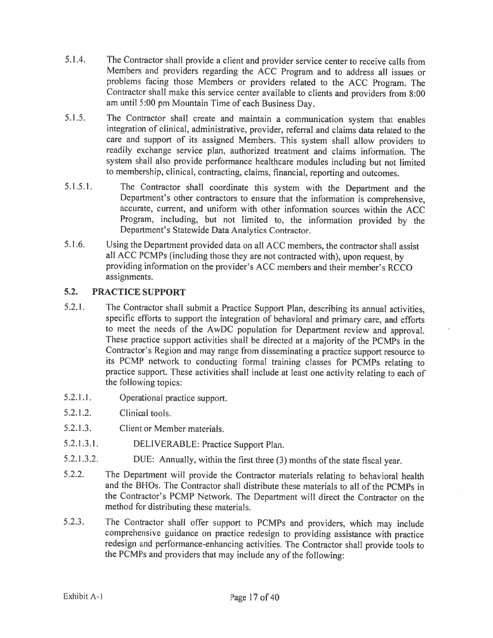- 5.1 .4. The Contractor shall provide <sup>a</sup> client and provider service center to receive calls from Members and providers regarding the ACC Program and to address all issues or problems facing those Members or providers related to the ACC Program. The Contractor shall make this service center available to clients and providers from 8:00 am until 5:00 pm Mountain Time of each Business Day.
- 5.1.5. The Contractor shall create and maintain <sup>a</sup> communication system that enables integration of clinical, administrative, provider, referral and claims data related to the care and support of its assigned Members. This system shall allow providers to readily exchange service plan, authorized treatment and claims information. The system shall also provide performance healthcare modules including but not limited to membership, clinical, contracting, claims, financial, reporting and outcomes.
- 5.1.5.1. The Contractor shall coordinate this system with the Department and the Department's other contractors to ensure that the information is comprehensive, accurate, current, and uniform with other information sources within the ACC Program, including, but not limited to, the information provided by the Department's Statewide Data Analytics Contractor.
- 5.1 .6. Using the Department provided data on all ACC members, the contractor shall assist all ACC PCMPs (including those they are not contracted with), upon request, by providing information on the provider's ACC members and their member's RCCO assignments.

#### 5.2. PRACTICE SUPPORT

- 5.2.1. The Contractor shall submit <sup>a</sup> Practice Support Plan, describing its annual activities, specific efforts to support the integration of behavioral and primary care, and efforts to meet the needs of the AwDC population for Department review and approval. These practice support activities shall be directed at <sup>a</sup> majority of the PCMPs in the Contractor's Region and may range from disseminating <sup>a</sup> practice support resource to its PCMP network to conducting formal training classes for PCMPs relating to practice support. These activities shall include at least one activity relating to each of the following topics:
- 5.2.1 .1. Operational practice support.
- 5.2.1.2. Clinical tools.
- 5.2.1.3. Client or Member materials.
- 5.2.1.3.1. DELIVERABLE: Practice Support Plan.
- 5.2.1.3.2. DUE: Annually, within the first three (3) months of the state fiscal year.
- 5.2.2. The Department will provide the Contractor materials relating to behavioral health and the BROs. The Contractor shall distribute these materials to all of the PCMPs in the Contractor's PCMP Network. The Department will direct the Contractor on the method for distributing these materials.
- 5.2.3. The Contractor shall offer support to PCMPs and providers, which may include comprehensive guidance on practice redesign to providing assistance with practice redesign and performance-enhancing activities. The Contractor shall provide tools to the PCMPs and providers that may include any of the following: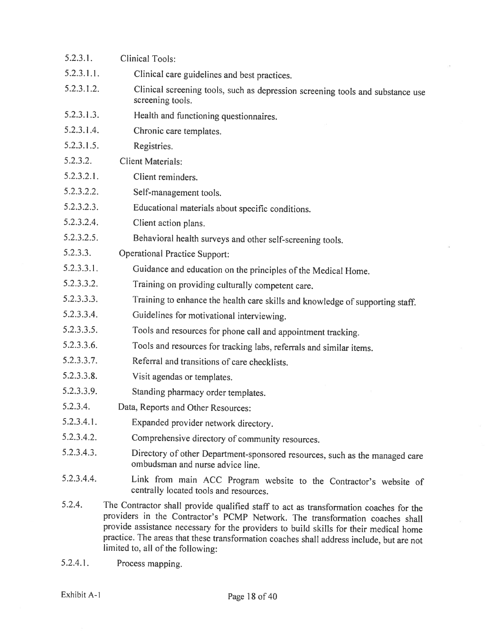| 5.2.3.1.   | <b>Clinical Tools:</b>                                                                                                                                                                                                                                                                                                                                                                          |
|------------|-------------------------------------------------------------------------------------------------------------------------------------------------------------------------------------------------------------------------------------------------------------------------------------------------------------------------------------------------------------------------------------------------|
| 5.2.3.1.1. | Clinical care guidelines and best practices.                                                                                                                                                                                                                                                                                                                                                    |
| 5.2.3.1.2. | Clinical screening tools, such as depression screening tools and substance use<br>screening tools.                                                                                                                                                                                                                                                                                              |
| 5.2.3.1.3. | Health and functioning questionnaires.                                                                                                                                                                                                                                                                                                                                                          |
| 5.2.3.1.4. | Chronic care templates.                                                                                                                                                                                                                                                                                                                                                                         |
| 5.2.3.1.5. | Registries.                                                                                                                                                                                                                                                                                                                                                                                     |
| 5.2.3.2.   | <b>Client Materials:</b>                                                                                                                                                                                                                                                                                                                                                                        |
| 5.2.3.2.1. | Client reminders.                                                                                                                                                                                                                                                                                                                                                                               |
| 5.2.3.2.2. | Self-management tools.                                                                                                                                                                                                                                                                                                                                                                          |
| 5.2.3.2.3. | Educational materials about specific conditions.                                                                                                                                                                                                                                                                                                                                                |
| 5.2.3.2.4. | Client action plans.                                                                                                                                                                                                                                                                                                                                                                            |
| 5.2.3.2.5. | Behavioral health surveys and other self-screening tools.                                                                                                                                                                                                                                                                                                                                       |
| 5.2.3.3.   | <b>Operational Practice Support:</b>                                                                                                                                                                                                                                                                                                                                                            |
| 5.2.3.3.1. | Guidance and education on the principles of the Medical Home.                                                                                                                                                                                                                                                                                                                                   |
| 5.2.3.3.2. | Training on providing culturally competent care.                                                                                                                                                                                                                                                                                                                                                |
| 5.2.3.3.3. | Training to enhance the health care skills and knowledge of supporting staff.                                                                                                                                                                                                                                                                                                                   |
| 5.2.3.3.4. | Guidelines for motivational interviewing.                                                                                                                                                                                                                                                                                                                                                       |
| 5.2.3.3.5. | Tools and resources for phone call and appointment tracking.                                                                                                                                                                                                                                                                                                                                    |
| 5.2.3.3.6. | Tools and resources for tracking labs, referrals and similar items.                                                                                                                                                                                                                                                                                                                             |
| 5.2.3.3.7. | Referral and transitions of care checklists.                                                                                                                                                                                                                                                                                                                                                    |
| 5.2.3.3.8. | Visit agendas or templates.                                                                                                                                                                                                                                                                                                                                                                     |
| 5.2.3.3.9. | Standing pharmacy order templates.                                                                                                                                                                                                                                                                                                                                                              |
| 5.2.3.4.   | Data, Reports and Other Resources:                                                                                                                                                                                                                                                                                                                                                              |
| 5.2.3.4.1. | Expanded provider network directory.                                                                                                                                                                                                                                                                                                                                                            |
| 5.2.3.4.2. | Comprehensive directory of community resources.                                                                                                                                                                                                                                                                                                                                                 |
| 5.2.3.4.3. | Directory of other Department-sponsored resources, such as the managed care<br>ombudsman and nurse advice line.                                                                                                                                                                                                                                                                                 |
| 5.2.3.4.4. | Link from main ACC Program website to the Contractor's website of<br>centrally located tools and resources.                                                                                                                                                                                                                                                                                     |
| 5.2.4.     | The Contractor shall provide qualified staff to act as transformation coaches for the<br>providers in the Contractor's PCMP Network. The transformation coaches shall<br>provide assistance necessary for the providers to build skills for their medical home<br>practice. The areas that these transformation coaches shall address include, but are not<br>limited to, all of the following: |

5.2.4.1. Process mapping.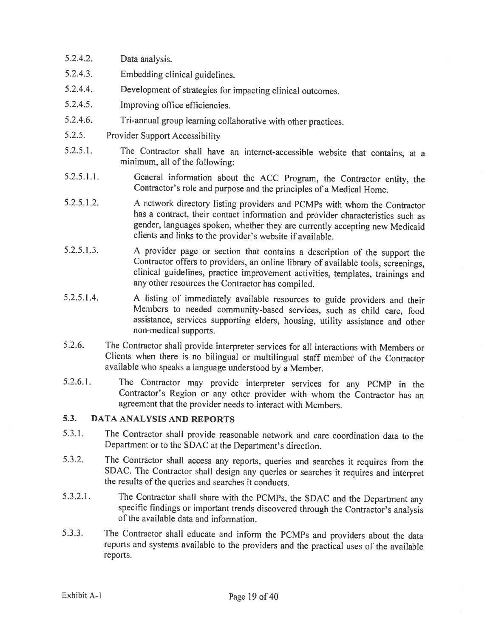- 5.2.4.2. Data analysis.
- 5.2.4.3. Embedding clinical guidelines.
- 5.2.4.4. Development of strategies for impacting clinical outcomes.
- 5.2.4.5. Improving office efficiencies.
- 5.2.4.6. Tri-annual group learning collaborative with other practices.
- 5.2.5. Provider Support Accessibility
- 5.2.5.1. The Contractor shall have an internet-accessible website that contains, at <sup>a</sup> minimum, all of the following:
- 5.2.5.1.1. General information about the ACC Program, the Contractor entity, the Contractor's role and purpose and the principles of <sup>a</sup> Medical Home.
- 5.2.5.1.2. <sup>A</sup> network directory listing providers and PCMPs with whom the Contractor has <sup>a</sup> contract, their contact information and provider characteristics such as gender, languages spoken, whether they are currently accepting new Medicaid clients and links to the provider's website if available.
- 5.2.5.1.3. <sup>A</sup> provider page or section that contains <sup>a</sup> description of the support the Contractor offers to providers, an online library of available tools, screenings, clinical guidelines, practice improvement activities, templates, trainings and any other resources the Contractor has compiled.
- 5.2.5.1.4. <sup>A</sup> listing of immediately available resources to guide providers and their Members to needed community-based services, such as child care, food assistance, services supporting elders, housing, utility assistance and other non-medical supports.
- 5.2.6. The Contractor shall provide interpreter services for all interactions with Members or Clients when there is no bilingual or multilingual staff member of the Contractor available who speaks <sup>a</sup> language understood by <sup>a</sup> Member.
- 5.2.6.1. The Contractor may provide interpreter services for any PCMP in the Contractor's Region or any other provider with whom the Contractor has an agreement that the provider needs to interact with Members.

# 5.3. DATA ANALYSIS AND REPORTS

- 5.3.1. The Contractor shall provide reasonable network and care coordination data to the Department or to the SDAC at the Department's direction.
- 5.3.2. The Contractor shall access any reports, queries and searches it requires from the SDAC. The Contractor shall design any queries or searches it requires and interpret the results of the queries and searches it conducts.
- 5.3.2.1. The Contractor shall share with the PCMPs, the SDAC and the Department any specific findings or important trends discovered through the Contractor's analysis of the available data and information.
- 5.3.3. The Contractor shall educate and inform the PCMPs and providers about the data reports and systems available to the providers and the practical uses of the available reports.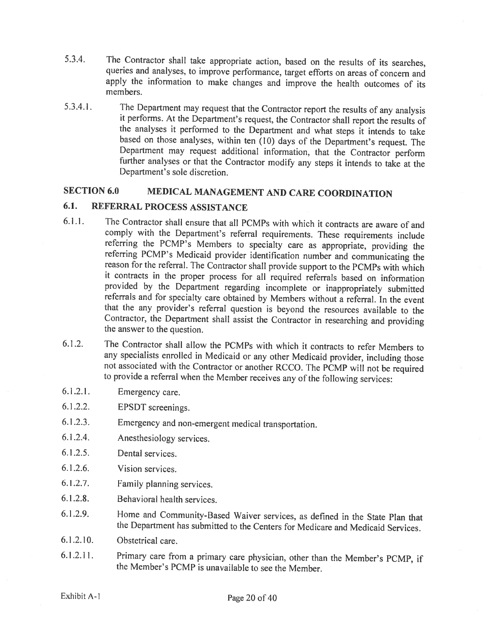- 5.3.4. The Contractor shall take appropriate action, based on the results of its searches, queries and analyses, to improve performance, target efforts on areas of concern and apply the information to make changes and improve the health outcomes of its members.
- 5.3.4.1. The Department may request that the Contractor report the results of any analysis it performs. At the Department's request, the Contractor shall report the results of the analyses it performed to the Department and what steps it intends to take based on those analyses, within ten (10) days of the Department's request. The further analyses or that the Contractor modify any steps it intends to take at the Department's sole discretion.

# SECTION 6.0 MEDICAL MANAGEMENT AND CARE COORDINATION

### 6.1. REFERRAL PROCESS ASSISTANCE

- 6.1.1. The Contractor shall ensure that all PCMPs with which it contracts are aware of and comply with the Department's referral requirements. These requirements include referring the PCMP's Members to specialty care as appropriate, providing the referring PCMP's Medicaid provider identification number and communicating the reason for the referral. The Contractor shall provide support to the PCMPs with which it contracts in the proper process for all required referrals based on information referrals and for specialty care obtained by Members without a referral. In the event that the any provider's referral question is beyond the resources available to the Contractor, the Department shall assist the Contractor in researching and providing the answer to the question.
- 6.1.2. The Contractor shall allow the PCMPs with which it contracts to refer Members to any specialists enrolled in Medicaid or any other Medicaid provider, including those not associated with the Contractor or another RCCO. The PCMP will not be required to provide <sup>a</sup> referral when the Member receives any of the following services:
- 6.1.2.1. Emergency care.
- 6.1 .2.2. EPSDT screenings.
- 6.1.2.3. Emergency and non-emergent medical transportation.
- 6.1 .2.4. Anesthesiology services.
- 6.1.2.5. Dental services.
- 6.1.2.6. Vision services.
- 6.1.2.7. Family <sup>p</sup>lanning services.
- 6.1.2.8. Behavioral health services.
- 6.1 .2.9. Home and Community-Based Waiver services, as defined in the State Plan that the Department has submitted to the Centers for Medicare and Medicaid Services.
- 6.1.2.10. Obstetrical care.
- 6.1.2.11. Primary care from <sup>a</sup> primary care <sup>p</sup>hysician, other than the Member's PCMP, if the Member's PCMP is unavailable to see the Member.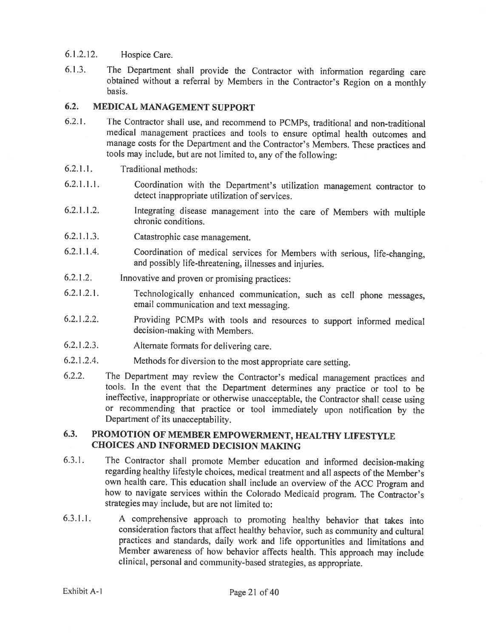### 6.1.2.12. Hospice Care.

6.1.3. The Department shall provide the Contractor with information regarding care obtained without <sup>a</sup> referral by Members in the Contractor's Region on <sup>a</sup> monthly basis.

### 6.2. MEDICAL MANAGEMENT SUPPORT

- 6.2.1. The Contractor shall use, and recommend to PCMPs, traditional and non-traditional medical management practices and tools to ensure optimal health outcomes and manage costs for the Department and the Contractor's Members. These practices and tools may include, but are not limited to, any of the following:
- 6.2.1.1. Traditional methods:
- 6.2.1.1.1. Coordination with the Department's utilization management contractor to detect inappropriate utilization of services.
- 6.2.1 .1 .2. Integrating disease management into the care of Members with multiple chronic conditions.
- 6.2.1.1.3. Catastrophic case management.
- 6.2.1 .1 .4. Coordination of medical services for Members with serious, life-changing, and possibly life-threatening, illnesses and injuries.
- 6.2.1 .2. Innovative and proven or promising practices:
- 6.2.1.2.1. Technologically enhanced communication, such as cell <sup>p</sup>hone messages, email communication and text messaging.
- 6.2.1.2.2. Providing PCMPs with tools and resources to support informed medical decision-making with Members.
- 6.2.1.2.3. Alternate formats for delivering care.
- 6.2.1.2.4. Methods for diversion to the most appropriate care setting.
- 6.2.2. The Department may review the Contractor's medical management practices and tools. In the event that the Department determines any practice or tool to be ineffective, inappropriate or otherwise unacceptable, the Contractor shall cease using or recommending that practice or tool immediately upon notification by the Department of its unacceptability.

### 6.3. PROMOTION OF MEMBER EMPOWERMENT, HEALTHY LIFESTYLE CHOICES AND INFORMED DECISION MAKING

- 6.3.1. The Contractor shall promote Member education and informed decision-making regarding healthy lifestyle choices, medical treatment and all aspects of the Member's own health care. This education shall include an overview of the ACC Program and how to navigate services within the Colorado Medicaid program. The Contractor's strategies may include, but are not limited to:
- 6.3.1.1. <sup>A</sup> comprehensive approach to promoting healthy behavior that takes into consideration factors that affect healthy behavior, such as community and cultural practices and standards, daily work and life opportunities and limitations and Member awareness of how behavior affects health. This approach may include clinical, personal and community-based strategies, as appropriate.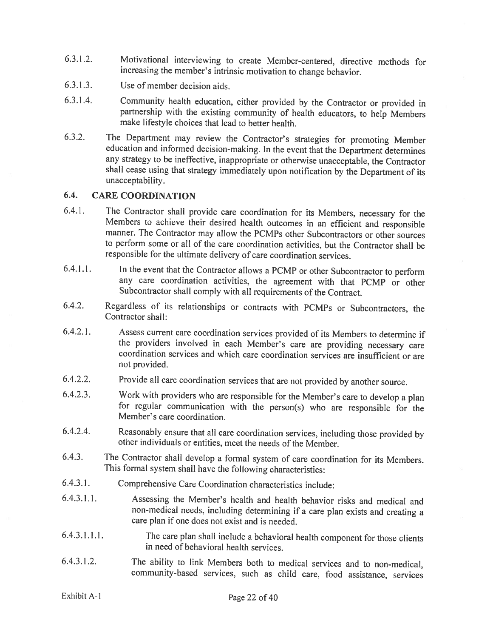- 6.3.1.2. Motivational interviewing to create Member-centered, directive methods for increasing the member's intrinsic motivation to change behavior.
- 6.3.1.3. Use of member decision aids.
- 6.3.1.4. Community health education, either provided by the Contractor or provided in partnership with the existing community of health educators, to help Members make lifestyle choices that lead to better health.
- 6.3.2. The Department may review the Contractor's strategies for promoting Member education and informed decision-making. In the event that the Department determines any strategy to be ineffective, inappropriate or otherwi shall cease using that strategy immediately upon notification by the Department of its unacceptability.

### 6.4. CARE COORDINATION

- 6.4.1. The Contractor shall provide care coordination for its Members, necessary for the Members to achieve their desired health outcomes in an efficient and responsible manner. The Contractor may allow the PCMPs other Subcontractors or other sources to perform some or all of the care coordination activities, but the Contractor shall be responsible for the ultimate delivery of care coordination services.
- 6.4.1 .1. In the event that the Contractor allows <sup>a</sup> PCMP or other Subcontractor to perform any care coordination activities, the agreement with that PCMP or other Subcontractor shall comply with all requirements of the Contract.
- 6.4.2. Regardless of its relationships or contracts with PCMPs or Subcontractors, the Contractor shall:
- 6.4.2.1. Assess current care coordination services provided of its Members to determine if coordination services and which care coordination services are insufficient or are not provided.
- 6.4.2.2. Provide all care coordination services that are not provided by another source.
- 6.4.2.3. Work with providers who are responsible for the Member's care to develop <sup>a</sup> <sup>p</sup>lan for regular communication with the person(s) who are responsible for the Member's care coordination.
- 6.4.2.4. Reasonably ensure that all care coordination services, including those provided by other individuals or entities, meet the needs of the Member.
- 6.4.3. The Contractor shall develop <sup>a</sup> formal system of care coordination for its Members. This formal system shall have the following characteristics:
- 6.4.3.1. Comprehensive Care Coordination characteristics include:
- 6.4.3.1.1. Assessing the Member's health and health behavior risks and medical and non-medical needs, including determining if <sup>a</sup> care <sup>p</sup>lan exists and creating <sup>a</sup> care plan if one does not exist and is needed.
- 6.4.3.1.1.1. The care <sup>p</sup>lan shall include <sup>a</sup> behavioral health component for those clients in need of behavioral health services.
- 6.4.3.1.2. The ability to link Members both to medical services and to non-medical, community-based services, such as child care, food assistance, services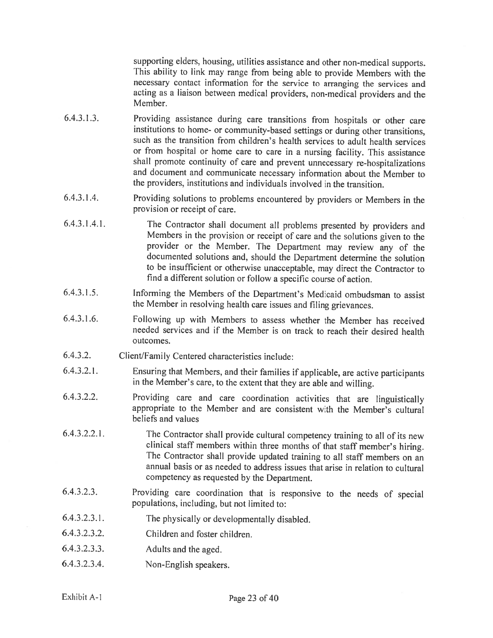supporting elders, housing, utilities assistance and other non-medical supports. This ability to link may range from being able to provide Members with the necessary contact information for the service to arranging the services and acting as <sup>a</sup> liaison between medical providers, non-medical providers and the Member.

- 6.4.3.1.3. Providing assistance during care transitions from hospitals or other care institutions to home- or community-based settings or during other transitions, such as the transition from children's health services to adult health services or from hospital or home care to care in <sup>a</sup> nursing facility. This assistance shall promote continuity of care and prevent unnecessary re-hospitalizations and document and communicate necessary information about the Member to the providers, institutions and individuals involved in the transition.
- 6.4.3.1.4. Providing solutions to problems encountered by providers or Members in the provision or receipt of care.
- 6.4.3.1.4.1. The Contractor shall document all problems presented by providers and Members in the provision or receipt of care and the solutions <sup>g</sup>iven to the provider or the Member. The Department may review any of the documented solutions and, should the Department determine the solution to be insufficient or otherwise unacceptable, may direct the Contractor to find <sup>a</sup> different solution or follow <sup>a</sup> specific course of action.
- 6.4.3.1.5. Informing the Members of the Department's Medicaid ombudsman to assist the Member in resolving health care issues and filing grievances.
- 6.4.3.1.6. Following up with Members to assess whether the Member has received needed services and if the Member is on track to reach their desired health outcomes.
- 6.4.3.2. Client/Family Centered characteristics include:
- 6.4.3.2.!. Ensuring that Members, and their families if applicable, are active participants in the Member's care, to the extent that they are able and willing.
- 6.4.3.2.2. Providing care and care coordination activities that are linguistically appropriate to the Member and are consistent with the Member's cultural beliefs and values
- 6.4.3.2.2.1. The Contractor shall provide cultural competency training to all of its new clinical staff members within three months of that staff member's hiring. The Contractor shall provide updated training to all staff members on an annual basis or as needed to address issues that arise in relation to cultural competency as requested by the Department.
- 6.4.3.2.3. Providing care coordination that is responsive to the needs of special populations, including, but not limited to:
- 6.4.3.2.3.1. The <sup>p</sup>hysically or developmentally disabled.
- 6.4.3.2.3.2. Children and foster children.
- 6.4.3.2.3.3. Adults and the aged.
- 6.4.3.2.3.4. Non-English speakers.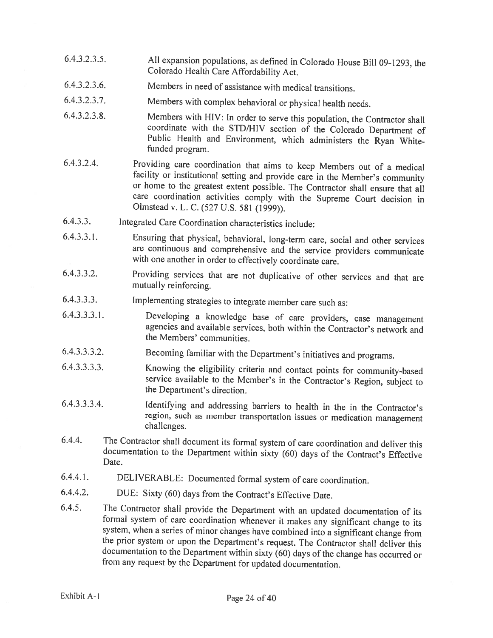- 6.4.3.2.3.5. All expansion populations, as defined in Colorado House Bill 09-1293, the Colorado Health Care Affordability Act.
- 6.4.3.2.3.6. Members in need of assistance with medical transitions.
- 6.4.3.2.3.7. Members with complex behavioral or <sup>p</sup>hysical health needs.
- 6.4.3.2.3.8. Members with HIV: In order to serve this population, the Contractor shall Public Health and Environment, which administers the Ryan White-funded program.
- 6.4.3.2.4. Providing care coordination that aims to keep Members out of <sup>a</sup> medical facility or institutional setting and provide care in the Member's community or home to the greatest extent possible. The Contractor shall ensure that all care coordination activities comply with the Supreme Court decision in Olmstead v. L. C. (527 U.S. <sup>581</sup> (1999)).
- 6.4.3.3. Integrated Care Coordination characteristics include:
- 6.4.3.3.1. Ensuring that <sup>p</sup>hysical, behavioral, long-term care, social and other services are continuous and comprehensive and the service providers communicate with one another in order to effectively coordinate care.
- 6.4.3.3.2. Providing services that are not duplicative of other services and that are mutually reinforcing.
- 6.4.3.3.3. Implementing strategies to integrate member care such as:
- 6.4.3.3.3.1. Developing <sup>a</sup> knowledge base of care providers, case management agencies and available services, both within the Contractor's network and the Members' communities.
- 6.4.3.3.3.2. Becoming familiar with the Department's initiatives and programs.
- 6.4.3.3.3.3. Knowing the eligibility criteria and contact points for community-based service available to the Member's in the Contractor's Region, subject to the Department's direction.
- 6.4.3.3.3.4. Identifying and addressing barriers to health in the in the Contractor's region, such as member transportation issues or medication management challenges.
- 6.4.4. The Contractor shall document its formal system of care coordination and deliver this documentation to the Department within sixty (60) days of the Contract's Effective Date.
- 6.4.4.1. DELIVERABLE: Documented formal system of care coordination.
- 6.4.4.2. DUE: Sixty (60) days from the Contract's Effective Date.
- 6.4.5. The Contractor shall provide the Department with an updated documentation of its formal system of care coordination whenever it makes any significant change to its system, when a series of minor changes have combine the prior system or upon the Department's request. The Contractor shall deliver this documentation to the Department within sixty (60) days of the change has occurred or from any request by the Department for updated documentation.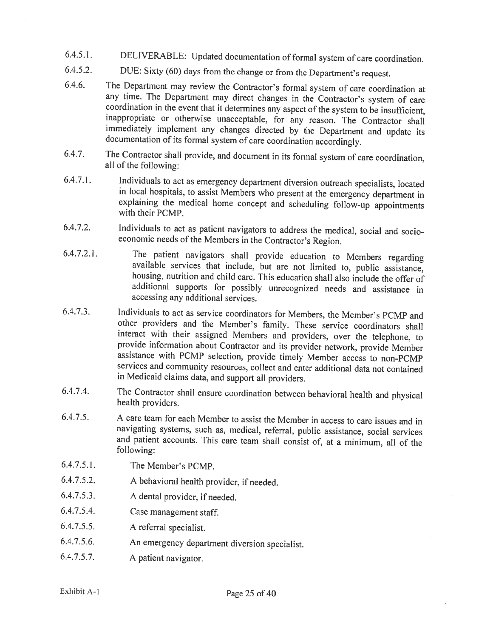- 6.4.5.1. DELIVERABLE: Updated documentation of formal system of care coordination.
- 6.4.5.2. DUE: Sixty (60) days from the change or from the Department's request.
- 6.4.6. The Department may review the Contractor's formal system of care coordination at any time. The Department may direct changes in the Contractor's system of care coordination in the event that it determines any aspect of the system to be insufficient, inappropriate or otherwise unacceptable, for any reason. The Contractor shall immediately implement any changes directed by the Depa
- 6.4.7. The Contractor shall provide, and document in its formal system of care coordination, all of the following:
- 6.4.7.1. Individuals to act as emergency department diversion outreach specialists, located in local hospitals, to assist Members who present at the emergency department in explaining the medical home concept and scheduling follow-up appointments with their PCMP.
- 6.4.7.2. Individuals to act as patient navigators to address the medical, social and socio economic needs of the Members in the Contractor's Region.
- 6.4.7.2.1. The patient navigators shall provide education to Members regarding available services that include, but are not limited to, public assistance, housing, nutrition and child care. This education shall also includ additional supports for possibly unrecognized needs and assistance in accessing any additional services.
- 6.4.7.3. Individuals to act as service coordinators for Members, the Member's PCMP and other providers and the Member's family. These service coordinators shall interact with their assigned Members and providers, over the telephone, to provide information about Contractor and its provider network, provide Member<br>assistance with PCMP selection, provide timely Member access to non-PCMP services and community resources, collect and enter additional data not contained in Medicaid claims data, and support all providers.
- 6.4.7.4. The Contractor shall ensure coordination between behavioral health and <sup>p</sup>hysical health providers.
- 6.4.7.5. <sup>A</sup> care team for each Member to assist the Member in access to care issues and in navigating systems, such as, medical, referral, public assistance, social services and patient accounts. This care team shall consist of, at <sup>a</sup> minimum, all of the following:
- 6.4.7.5.1. The Member's PCMP.
- 6.4.7.5.2. <sup>A</sup> behavioral health provider, if needed.
- 6.4.7.5.3. <sup>A</sup> dental provider, if needed.
- 6.4.7.5.4. Case management staff.
- 6.4.7.5.5. <sup>A</sup> referral specialist.
- 6.4.7.5.6. An emergency department diversion specialist.
- 6.4.7.5.7. <sup>A</sup> patient navigator.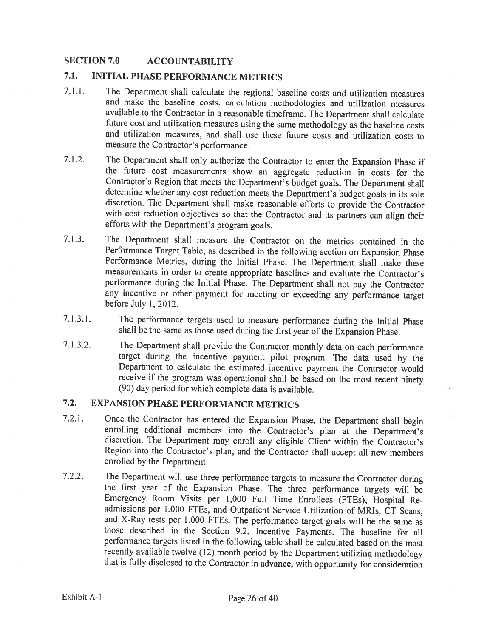### SECTION 7.0 ACCOUNTABILITY

# 7.1. INITIAL PHASE PERFORMANCE METRICS

- 7.1.1. The Department shall calculate the regional baseline costs and utilization measures and make the baseline costs, calculation methodologies and utilization measures available to the Contractor in <sup>a</sup> reasonable timeframe. The Department shall calculate future cost and utilization measures using the same methodology as the baseline costs and utilization measures, and shall use these future costs and utilization costs to measure the Contractor's performance.
- 7.1 .2. The Department shall only authorize the Contractor to enter the Expansion Phase if the future cost measurements show an aggregate reduction in costs for the Contractor's Region that meets the Department's budget goals. The Department shall determine whether any cost reduction meets the Department's budget goals in its sole discretion. The Department shall make reasonable efforts to provide the Contractor with cost reduction objectives so that the Contractor and its partners can align their efforts with the Department's program goals.
- 7.1.3. The Department shall measure the Contractor on the metrics contained in the Performance Target Table, as described in the following section on Expansion Phase Performance Metrics, during the Initial Phase. The Department shall make these measurements in order to create appropriate baselines and evaluate the Contractor's performance during the Initial Phase. The Department shall not pay the Contractor any incentive or other payment for meeting or exceeding any performance target before July 1, 2012.
- 7.1.3.1. The performance targets used to measure performance during the Initial Phase shall be the same as those used during the first year of the Expansion Phase.
- 7.1.3.2. The Department shall provide the Contractor monthly data on each performance target during the incentive payment <sup>p</sup>ilot program. The data used by the Department to calculate the estimated incentive payment the Contractor would receive if the program was operational shall be based on the most recent ninety (90) day period for which complete data is available.

# 7.2. EXPANSION PHASE PERFORMANCE METRICS

- 7.2.1. Once the Contractor has entered the Expansion Phase, the Department shall begin enrolling additional members into the Contractor's <sup>p</sup>lan at the Department's discretion. The Department may enroll any eligible Client within the Contractor's Region into the Contractor's <sup>p</sup>lan, and the Contractor shall accept all new members enrolled by the Department.
- 7.2.2. The Department will use three performance targets to measure the Contractor during the first year of the Expansion Phase. The three performance targets will be Emergency Room Visits per 1,000 Full Time Enrollees (FTE5), Hospital Readmissions per 1,000 FTEs, and Outpatient Service Utilization of MRIs, CT Scans, and X-Ray tests per 1,000 FTEs. The performance target goals will be the same as those described in the Section 9.2, Incentive Payments. The baseline for all performance targets listed in the following table shall be calculated based on the most recently available twelve (12) month period by the Department utilizing methodology that is fully disclosed to the Contractor in advance, with opportunity for consideration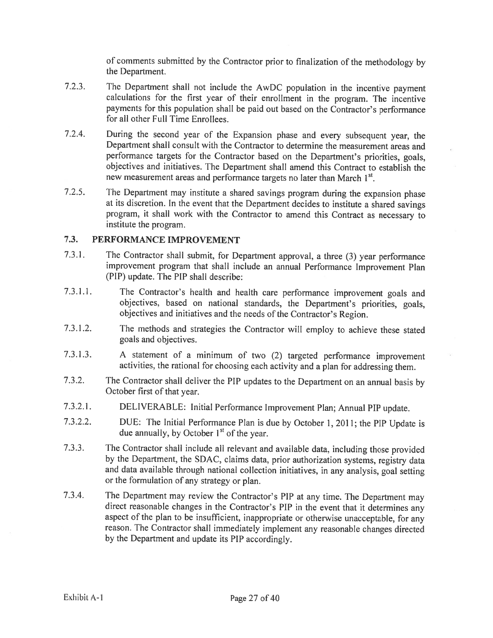of comments submitted by the Contractor prior to finalization of the methodology by the Department.

- 7.2.3. The Department shall not include the AwDC population in the incentive payment calculations for the first year of their enrollment in the program. The incentive payments for this population shall be paid out based on the Contractor's performance for all other Full Time Enrollees.
- 7.2.4. During the second year of the Expansion <sup>p</sup>hase and every subsequent year, the Department shall consult with the Contractor to determine the measurement areas and performance targets for the Contractor based on the Department's priorities, goals, objectives and initiatives. The Department shall amend this Contract to establish the new measurement areas and performance targets no later than March 1<sup>st</sup>.
- 7.2.5. The Department may institute <sup>a</sup> shared savings program during the expansion <sup>p</sup>hase at its discretion. In the event that the Department decides to institute <sup>a</sup> shared savings program, it shall work with the Contractor to amend this Contract as necessary to institute the program.

### 7.3. PERFORMANCE IMPROVEMENT

- 7.3.1. The Contractor shall submit, for Department approval, <sup>a</sup> three (3) year performance improvement program that shall include an annual Performance Improvement Plan (PIP) update. The PIP shall describe:
- 7.3.1.1. The Contractor's health and health care performance improvement goals and objectives, based on national standards, the Department's priorities, goals, objectives and initiatives and the needs of the Contractor's Region.
- 7.3.1.2. The methods and strategies the Contractor will employ to achieve these stated goals and objectives.
- 7.3.1.3. <sup>A</sup> statement of <sup>a</sup> minimum of two (2) targeted performance improvement activities, the rational for choosing each activity and <sup>a</sup> <sup>p</sup>lan for addressing them.
- 7.3.2. The Contractor shall deliver the PIP updates to the Department on an annual basis by October first of that year.
- 7.3.2.1. DELIVERABLE: Initial Performance Improvement Plan; Annual PIP update.
- 7.3.2.2. DUE: The Initial Performance Plan is due by October 1,2011; the PIP Update is due annually, by October  $1<sup>st</sup>$  of the year.
- 7.3.3. The Contractor shall include all relevant and available data, including those provided by the Department, the SDAC, claims data, prior authorization systems, registry data and data available through national collection initiatives, in any analysis, goa<sup>l</sup> setting or the formulation of any strategy or <sup>p</sup>lan.
- 7.3.4. The Department may review the Contractor's PIP at any time. The Department may direct reasonable changes in the Contractor's PIP in the event that it determines any aspect of the <sup>p</sup>lan to be insufficient, inappropriate or otherwise unacceptable, for any reason. The Contractor shall immediately implement any reasonable changes directed by the Department and update its PIP accordingly.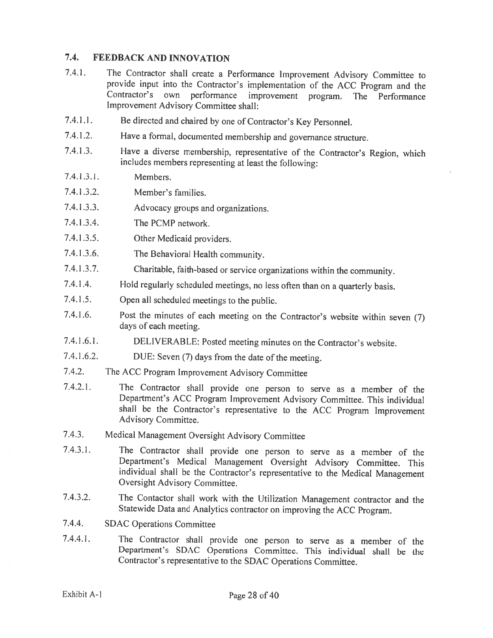### 7.4. FEEDBACK AND INNOVATION

- 7.4.1. The Contractor shall create <sup>a</sup> Performance Improvement Advisory Committee to provide input into the Contractor's implementation of the ACC Program and the Contractor's own performance improvement program. The Performance Improvement Advisory Committee shall:
- 7.4.1.1. Be directed and chaired by one of Contractor's Key Personnel.
- 7.4.1.2. Have <sup>a</sup> formal, documented membership and governance structure.
- 7.4.1.3. Have <sup>a</sup> diverse membership, representative of the Contractor's Region, which includes members representing at least the following:
- 7.4.1 .3.1. Members.
- 7.4.1.3.2. Member's families.
- 7.4.1.3.3. Advocacy groups and organizations.
- 7.4.1.3.4. The PCMP network.
- 7.4.1.3.5. Other Medicaid providers.
- 7.4.1.3.6. The Behavioral Health community.
- 7.4.1 .3.7. Charitable, faith-based or service organizations within the community.
- 7.4.1.4. Hold regularly scheduled meetings, no less often than on <sup>a</sup> quarterly basis.
- 7.4.1.5. Open all scheduled meetings to the public.
- 7.4.1 .6. Post the minutes of each meeting on the Contractor's website within seven (7) days of each meeting.
- 7.4.1.6.1. DELIVERABLE: Posted meeting minutes on the Contractor's website.
- 7.4.1.6.2. DUE: Seven (7) days from the date of the meeting.
- 7.4.2. The ACC Program Improvement Advisory Committee
- 7.4.2.1. The Contractor shall provide one person to serve as <sup>a</sup> member of the Department's ACC Program Improvement Advisory Committee. This individual shall be the Contractor's representative to the ACC Program Improvement Advisory Committee.
- 7.4.3. Medical Management Oversight Advisory Committee
- 7.4.3.1. The Contractor shall provide one person to serve as <sup>a</sup> member of the Department's Medical Management Oversight Advisory Committee. This individual shall be the Contractor's representative to the Medical Management Oversight Advisory Committee.
- 7.4.3.2. The Contactor shall work with the Utilization Management contractor and the Statewide Data and Analytics contractor on improving the ACC Program.
- 7.4.4. SDAC Operations Committee
- 7.4.4.1. The Contractor shall provide one person to serve as <sup>a</sup> member of the Department's SDAC Operations Committee. This individual shall be the Contractor's representative to the SDAC Operations Committee.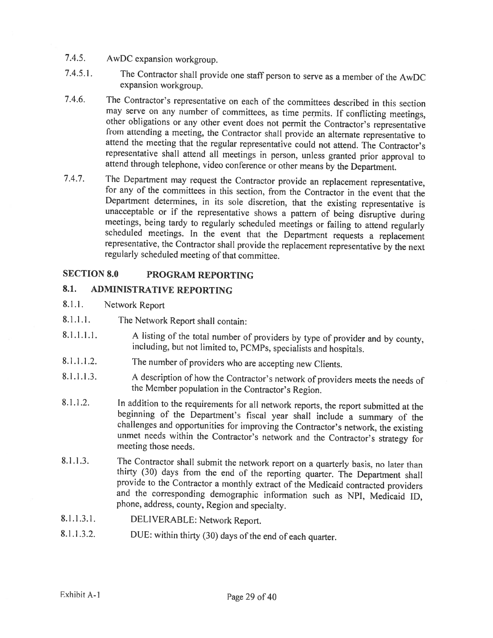- 7.4.5. AwDC expansion workgroup.
- 7.4.5.1. The Contractor shall provide one staff person to serve as <sup>a</sup> member of the AwDC expansion workgroup.
- 7.4.6. The Contractor's representative on each of the committees described in this section may serve on any number of committees, as time permits. If conflicting meetings, other obligations or any other event does not permit the Contractor's representative<br>from attending a meeting, the Contractor shall provide an alternate representative to<br>attend the meeting that the regular representative attend through telephone, video conference or other means by the Department.
- 7.4.7. The Department may request the Contractor provide an replacement representative, for any of the committees in this section, from the Contractor in the event that the unacceptable or if the representative shows a pattern of being disruptive during<br>meetings, being tardy to regularly scheduled meetings or failing to attend regularly<br>scheduled meetings. In the event that the Department req regularly scheduled meeting of that committee.

# SECTION 8.0 PROGRAM REPORTING

# 8.1. ADMINISTRATIVE REPORTING

- 8.1.1. Network Report
- 8.1 .1.1. The Network Report shall contain:
- 8.1.1.1.1. A listing of the total number of providers by type of provider and by county, including, but not limited to, PCMPs, specialists and hospitals.
- 8.1.1.1.2. The number of providers who are accepting new Clients.
- 8.1.1.1.3. <sup>A</sup> description of how the Contractor's network of providers meets the needs of the Member population in the Contractor's Region.
- 8.1.1.2. In addition to the requirements for all network reports, the report submitted at the beginning of the Department's fiscal year shall include a summary of the challenges and opportunities for improving the Contract unmet needs within the Contractor's network and the Contractor's strategy for meeting those needs.
- 8.1.1.3. The Contractor shall submit the network report on a quarterly basis, no later than thirty (30) days from the end of the reporting quarter. The Department shall provide to the Contractor a monthly extract of the Me <sup>p</sup>hone, address, county, Region and specialty.
- 8.1.1.3.1. DELIVERABLE: Network Report.
- 8.1.1.3.2. DUE: within thirty (30) days of the end of each quarter.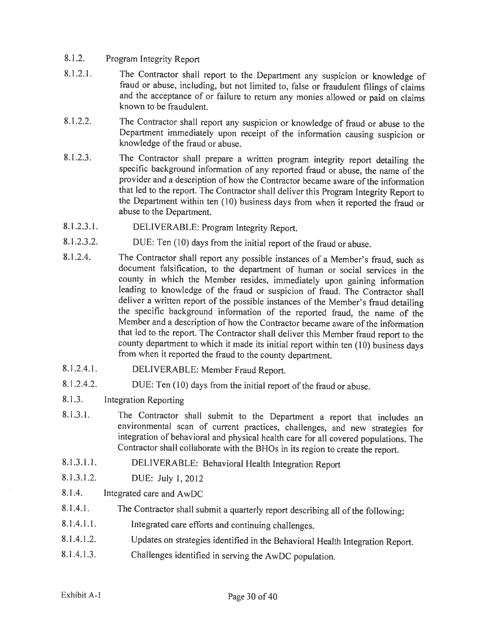#### 8.1 .2. Program Integrity Report

- 8.1.2.1. The Contractor shall report to the Department any suspicion or knowledge of fraud or abuse, including, but not limited to, false or fraudulent filings of claims and the acceptance of or failure to retum any monies allowed or paid on claims known to be fraudulent.
- 8.1 .2.2. The Contractor shall report any suspicion or knowledge of fraud or abuse to the Department immediately upon receipt of the information causing suspicion or knowledge of the fraud or abuse.
- 8.1.2.3. The Contractor shall prepare <sup>a</sup> written program integrity report detailing the specific background information of any reported fraud or abuse, the name of the provider and <sup>a</sup> description of how the Contractor became aware of the information that led to the report. The Contractor shall deliver this Program Integrity Report to the Department within ten (10) business days from when it reported the fraud or abuse to the Department.
- 8.1.2.3.1. DELIVERABLE: Program Integrity Report.
- 8.1.2.3.2. DUE: Ten (10) days from the initial report of the fraud or abuse.
- 8.1.2.4. The Contractor shall report any possible instances of <sup>a</sup> Member's fraud, such as document falsification, to the department of human or social services in the county in which the Member resides, immediately upon gaining information leading to knowledge of the fraud or suspicion of fraud. The Contractor shall deliver a written report of the possible instances of the Member's fraud detailing the specific background information of the reported fraud, the name of the Member and <sup>a</sup> description of how the Contractor became aware of the information that led to the report. The Contractor shall deliver this Member fraud report to the county department to which it made its initial report within ten (10) business days from when it reported the fraud to the county department.
- 8.1 .2.4.1. DELIVERABLE: Member Fraud Report.
- 8.1.2.4.2. DUE: Ten (10) days from the initial report of the fraud or abuse.
- 8.1.3. Integration Reporting
- 8.1.3.1. The Contractor shall submit to the Department <sup>a</sup> report that includes an environmental scan of current practices, challenges, and new strategies for integration of behavioral and <sup>p</sup>hysical health care for all covered populations. The Contractor shall collaborate with the BHOs in its region to create the report.
- 8.1.3.1.1. DELIVERABLE: Behavioral Health Integration Report
- 8.1.3.1.2. DUE: July 1,2012
- 8.1.4. Integrated care and AwDC
- 8.1.4.1. The Contractor shall submit <sup>a</sup> quarterly report describing all of the following:
- 8.1.4.1.1. Integrated care efforts and continuing challenges.
- 8.1 .4.1 .2. Updates on strategies identified in the Behavioral Health Integration Report.
- 8.1.4.1.3. Challenges identified in serving the AwDC population.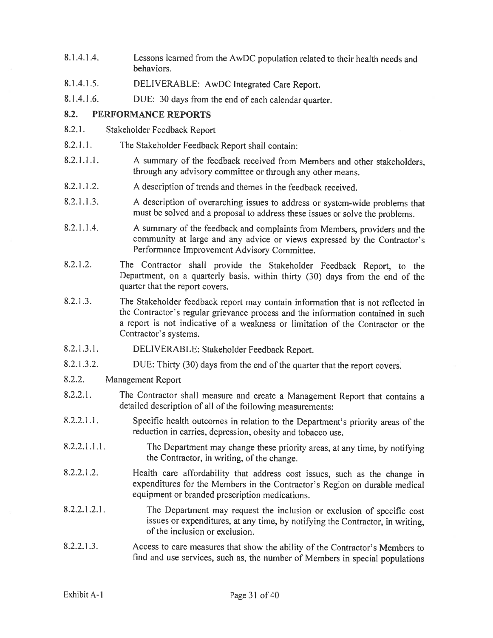- 8.1.4.1.4. Lessons learned from the AwDC population related to their health needs and behaviors.
- 8.1.4.1 .5. DELIVERABLE: AwDC Integrated Care Report.
- 8.1.4.1.6. DUE: <sup>30</sup> days from the end of each calendar quarter.

### 8.2. PERFORMANCE REPORTS

- 8.2.1. Stakeholder Feedback Report
- 8.2.1.1. The Stakeholder Feedback Report shall contain:
- 8.2.1.1.1. A summary of the feedback received from Members and other stakeholders, through any advisory committee or through any other means.
- 8.2.1.1.2. <sup>A</sup> description of trends and themes in the feedback received.
- 8.2.1.1.3. <sup>A</sup> description of overarching issues to address or system-wide problems that must be solved and <sup>a</sup> proposal to address these issues or solve the problems.
- 8.2.1 .1 .4. <sup>A</sup> summary of the feedback and complaints from Members, providers and the community at large and any advice or views expressed by the Contractor's Performance Improvement Advisory Committee.
- 8.2.1.2. The Contractor shall provide the Stakeholder Feedback Report, to the Department, on <sup>a</sup> quarterly basis, within thirty (30) days from the end of the quarter that the report covers.
- 8.2.1.3. The Stakeholder feedback report may contain information that is not reflected in the Contractor's regular grievance process and the information contained in such <sup>a</sup> report is not indicative of <sup>a</sup> weakness or limitation of the Contractor or the Contractor's systems.
- 8.2.1.3.1. DELIVERABLE: Stakeholder Feedback Report.
- 8.2.1.3.2. DUE: Thirty (30) days from the end of the quarter that the report covers.
- 8.2.2. Management Report
- 8.2.2.1. The Contractor shall measure and create <sup>a</sup> Management Report that contains <sup>a</sup> detailed description of all of the following measurements:
- 8.2.2.1.1. Specific health outcomes in relation to the Department's priority areas of the reduction in carries, depression, obesity and tobacco use.
- 8.2.2.1.1.1. The Department may change these priority areas, at any time, by notifying the Contractor, in writing, of the change.
- 8.2.2.1 .2. Health care affordability that address cost issues, such as the change in expenditures for the Members in the Contractor's Region on durable medical equipment or branded prescription medications.
- 8.2.2.1.2.1. The Department may request the inclusion or exclusion of specific cost issues or expenditures, at any time, by notifying the Contractor, in writing, of the inclusion or exclusion.
- 8.2.2.1.3. Access to care measures that show the ability of the Contractor's Members to find and use services, such as, the number of Members in special populations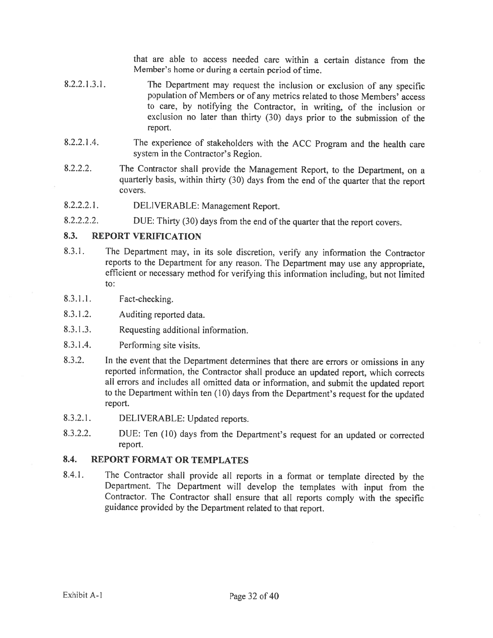that are able to access needed care within <sup>a</sup> certain distance from the Member's home or during <sup>a</sup> certain period of time.

- 8.2.2.1.3.1. The Department may request the inclusion or exclusion of any specific population of Members or of any metrics related to those Members' access to care, by notifying the Contractor, in writing, of the inclusion or exclusion no later than thirty (30) days prior to the submission of the report.
- 8.2.2.1 .4. The experience of stakeholders with the ACC Program and the health care system in the Contractor's Region.
- 8.2.2.2. The Contractor shall provide the Management Report, to the Department, on <sup>a</sup> quarterly basis, within thirty (30) days from the end of the quarter that the report covers.
- 8.2.2.2.1. DELIVERABLE: Management Report.
- 8.2.2.2.2. DUE: Thirty (30) days from the end of the quarter that the report covers.

### 8.3. REPORT VERIFICATION

- 8.3.1. The Department may, in its sole discretion, verify any information the Contractor reports to the Department for any reason. The Department may use any appropriate, efficient or necessary method for verifying this information including, but not limited to:
- 8.3.1.1. Fact-checking.
- 8.3.1.2. Auditing reported data.
- 8.3.1 .3. Requesting additional information.
- 8.3.1.4. Performing site visits.
- 8.3.2. In the event that the Department determines that there are errors or omissions in any reported information, the Contractor shall produce an updated report, which corrects all errors and includes all omitted data or information, and submit the updated report to the Department within ten (10) days from the Department's request for the updated report.
- 8.3.2.1. DELIVERABLE: Updated reports.
- 8.3.2.2. DUE: Ten (10) days from the Department's request for an updated or corrected report.

#### 8.4. REPORT FORMAT OR TEMPLATES

8.4.1. The Contractor shall provide all reports in <sup>a</sup> format or template directed by the Department. The Department will develop the templates with input from the Contractor. The Contractor shall ensure that all reports comply with the specific guidance provided by the Department related to that report.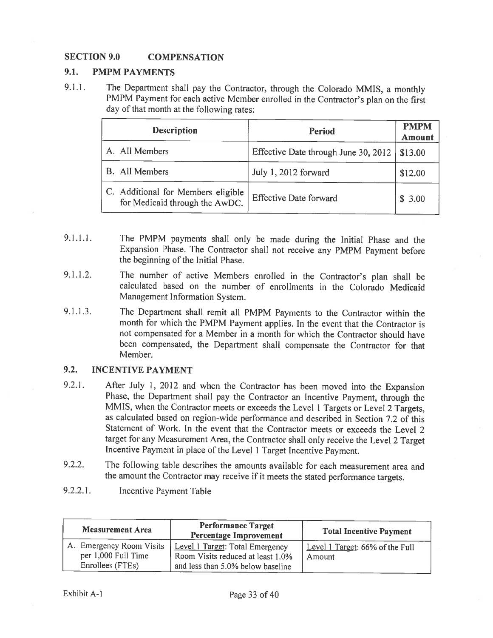### SECTION 9.0 COMPENSATION

### 9.1. PMPM PAYMENTS

9.1.1. The Department shall pay the Contractor, through the Colorado MMIS, a monthly PMPM Payment for each active Member enrolled in the Contractor's <sup>p</sup>lan on the first day of that month at the following rates:

| <b>Description</b>                                                   | Period                               | <b>PMPM</b><br><b>Amount</b> |
|----------------------------------------------------------------------|--------------------------------------|------------------------------|
| A. All Members                                                       | Effective Date through June 30, 2012 | \$13.00                      |
| <b>B.</b> All Members                                                | July 1, 2012 forward                 | \$12.00                      |
| C. Additional for Members eligible<br>for Medicaid through the AwDC. | Effective Date forward               | \$3.00                       |

- 9.1.1.1. The PMPM payments shall only be made during the Initial Phase and the Expansion Phase. The Contractor shall not receive any PMPM Payment before the beginning of the Initial Phase.
- 9.1.1.2. The number of active Members enrolled in the Contractor's <sup>p</sup>lan shall be calculated based on the number of enrollments in the Colorado Medicaid Management Information System.
- 9.1.1.3. The Department shall remit all PMPM Payments to the Contractor within the month for which the PMPM Payment applies. In the event that the Contractor is not compensated for <sup>a</sup> Member in <sup>a</sup> month for which the Contractor should have been compensated, the Department shall compensate the Contractor for that Member.

### 9.2. INCENTIVE PAYMENT

- 9.2.1. After July 1, <sup>2012</sup> and when the Contractor has been moved into the Expansion Phase, the Department shall pay the Contractor an Incentive Payment, through the MMIS, when the Contractor meets or exceeds the Level <sup>I</sup> Targets or Level <sup>2</sup> Targets, as calculated based on region-wide performance and described in Section 7.2 of this Statement of Work. In the event that the Contractor meets or exceeds the Level 2 target for any Measurement Area, the Contractor shall only receive the Level <sup>2</sup> Target Incentive Payment in <sup>p</sup>lace of the Level <sup>1</sup> Target Incentive Payment.
- 9.2.2. The following table describes the amounts available for each measurement area and the amount the Contractor may receive if it meets the stated performance targets.
- 9.2.2.1. Incentive Payment Table

| <b>Measurement Area</b>                                             | <b>Performance Target</b><br><b>Percentage Improvement</b>                                                | <b>Total Incentive Payment</b>            |
|---------------------------------------------------------------------|-----------------------------------------------------------------------------------------------------------|-------------------------------------------|
| A. Emergency Room Visits<br>per 1,000 Full Time<br>Enrollees (FTEs) | Level 1 Target: Total Emergency<br>Room Visits reduced at least 1.0%<br>and less than 5.0% below baseline | Level 1 Target: 66% of the Full<br>Amount |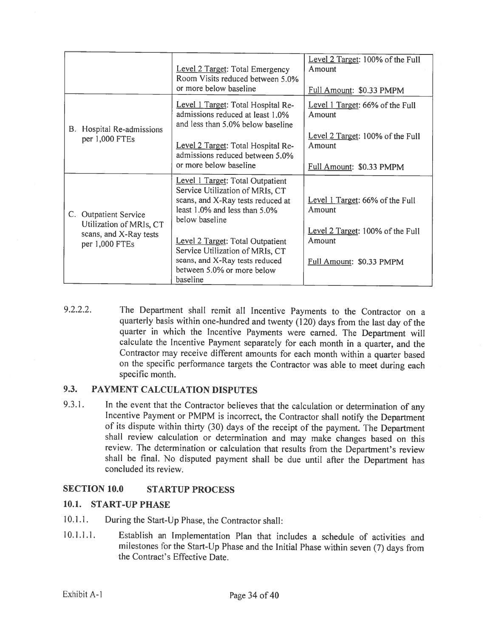|                                                                                              | Level 2 Target: Total Emergency<br>Room Visits reduced between 5.0%<br>or more below baseline                                                                                                                                                                                                                  | Level 2 Target: 100% of the Full<br>Amount<br>Full Amount: \$0.33 PMPM                                              |
|----------------------------------------------------------------------------------------------|----------------------------------------------------------------------------------------------------------------------------------------------------------------------------------------------------------------------------------------------------------------------------------------------------------------|---------------------------------------------------------------------------------------------------------------------|
| B. Hospital Re-admissions<br>per 1,000 FTEs                                                  | Level 1 Target: Total Hospital Re-<br>admissions reduced at least 1.0%<br>and less than 5.0% below baseline<br>Level 2 Target: Total Hospital Re-<br>admissions reduced between 5.0%<br>or more below baseline                                                                                                 | Level 1 Target: 66% of the Full<br>Amount<br>Level 2 Target: 100% of the Full<br>Amount<br>Full Amount: \$0.33 PMPM |
| C. Outpatient Service<br>Utilization of MRIs, CT<br>scans, and X-Ray tests<br>per 1,000 FTEs | Level 1 Target: Total Outpatient<br>Service Utilization of MRIs, CT<br>scans, and X-Ray tests reduced at<br>least 1.0% and less than 5.0%<br>below baseline<br>Level 2 Target: Total Outpatient<br>Service Utilization of MRIs, CT<br>scans, and X-Ray tests reduced<br>between 5.0% or more below<br>baseline | Level 1 Target: 66% of the Full<br>Amount<br>Level 2 Target: 100% of the Full<br>Amount<br>Full Amount: \$0.33 PMPM |

9.2.2.2. The Department shall remit all Incentive Payments to the Contractor on <sup>a</sup> quarterly basis within one-hundred and twenty (120) days from the last day of the quarter in which the Incentive Payments were earned. The Department will calculate the Incentive Payment separately for each month in <sup>a</sup> quarter, and the Contractor may receive different amounts for each month within <sup>a</sup> quarter based on the specific performance targets the Contractor was able to meet during each specific month.

### 9.3. PAYMENT CALCULATION DISPUTES

9.3.1. In the event that the Contractor believes that the calculation or determination of any Incentive Payment or PMPM is incorrect, the Contractor shall notify the Department of its dispute within thirty (30) days of the receipt of the payment. The Department shall review calculation or determination and may make changes based on this review. The determination or calculation that results from the Department's review shall be final. No disputed payment shall be due until after the Department has concluded its review.

### SECTION 10.0 STARTUP PROCESS

### 10.1. START-UP PHASE

- 10.1.1. During the Start-Up Phase, the Contractor shall:
- 10.1.1.1. Establish an Implementation Plan that includes <sup>a</sup> schedule of activities and milestones for the Start-Up Phase and the Initial Phase within seven (7) days from the Contract's Effective Date.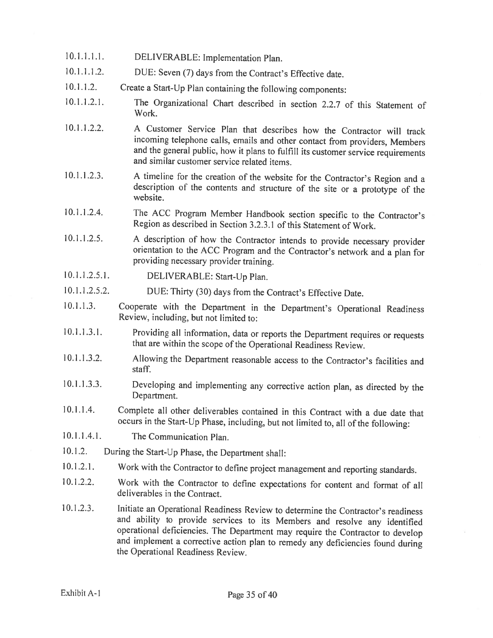- 10.1.1.1.1. DELIVERABLE: Implementation Plan.
- 10.1.1.1.2. DUE: Seven (7) days from the Contract's Effective date.
- 10.1.1.2. Create a Start-Up Plan containing the following components:
- 10.1.1.2.1. The Organizational Chart described in section 2.2.7 of this Statement of Work.
- 10.1 .1.2.2. <sup>A</sup> Customer Service Plan that describes how the Contractor will track incoming telephone calls, emails and other contact from providers, Members and the general public, how it <sup>p</sup>lans to fulfill its customer service requirements and similar customer service related items.
- 10.1.1.2.3. <sup>A</sup> timeline for the creation of the website for the Contractor's Region and <sup>a</sup> description of the contents and structure of the site or <sup>a</sup> prototype of the website.
- 10.1.1.2.4. The ACC Program Member Handbook section specific to the Contractor's Region as described in Section 3.2.3.1 of this Statement of Work.
- 10.1.1.2.5. <sup>A</sup> description of how the Contractor intends to provide necessary provider orientation to the ACC Program and the Contractor's network and <sup>a</sup> <sup>p</sup>lan for providing necessary provider training.
- 10.1.1.2.5.1. DELIVERABLE: Start-Up Plan.
- 10.1.1.2.5.2. DUE: Thirty (30) days from the Contract's Effective Date.
- 10.1.1.3. Cooperate with the Department in the Department's Operational Readiness Review, including, but not limited to:
- 10.1.1.3.1. Providing all information, data or reports the Department requires or requests that are within the scope of the Operational Readiness Review.
- 10.1.1.3.2. Allowing the Department reasonable access to the Contractor's facilities and staff.
- 10.1.1.3.3. Developing and implementing any corrective action <sup>p</sup>lan, as directed by the Department.
- 10.1.1.4. Complete all other deliverables contained in this Contract with <sup>a</sup> due date that occurs in the Start-Up Phase, including, but not limited to, all of the following:
- 10.1.1.4.1. The Communication Plan.
- 10.1.2. During the Start-Up Phase, the Department shall:
- 10.1.2.1. Work with the Contractor to define project management and reporting standards.
- 10.1.2.2. Work with the Contractor to define expectations for content and format of all deliverables in the Contract.
- 10.1.2.3. Initiate an Operational Readiness Review to determine the Contractor's readiness and ability to provide services to its Members and resolve any identified operational deficiencies. The Department may require the Contractor to develop and implement a corrective action plan to remedy any deficiencies found during the Operational Readiness Review.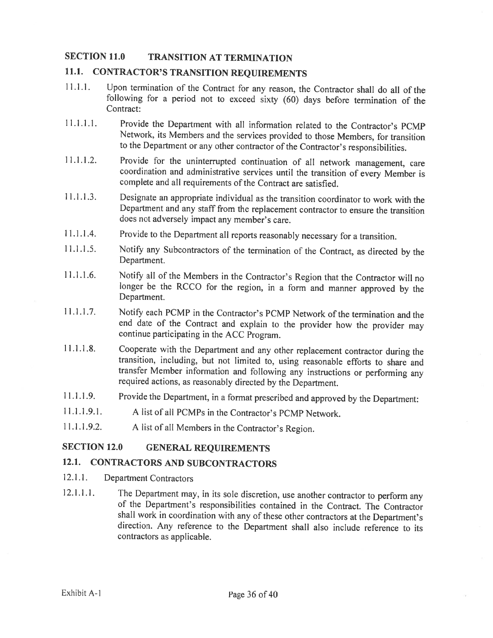### SECTION 11.0 TRANSITION AT TERMINATION

### 11.1. CONTRACTOR'S TRANSITION REQUIREMENTS

- 11.1.1. Upon termination of the Contract for any reason, the Contractor shall do all of the following for <sup>a</sup> period not to exceed sixty (60) days before termination of the Contract:
- 11.1.1.1. Provide the Department with all information related to the Contractor's PCMP Network, its Members and the services provided to those Members, for transition to the Department or any other contractor of the Contractor's responsibilities.
- 11.1.1.2. Provide for the uninterrupted continuation of all network management, care coordination and administrative services until the transition of every Member is complete and all requirements of the Contract are satisfied.
- 11.1.1.3. Designate an appropriate individual as the transition coordinator to work with the Department and any staff from the replacement contractor to ensure the transition does not adversely impact any member's care.
- 11.1.1.4. Provide to the Department all reports reasonably necessary for a transition.
- 11.1.1.5. Notify any Subcontractors of the termination of the Contract, as directed by the Department.
- 11.1.1.6. Notify all of the Members in the Contractor's Region that the Contractor will no longer be the RCCO for the region, in <sup>a</sup> form and manner approved by the Department.
- 11.1.1.7. Notify each PCMP in the Contractor's PCMP Network of the termination and the end date of the Contract and explain to the provider how the provider may continue participating in the ACC Program.
- 11.1.1.8. Cooperate with the Department and any other replacement contractor during the transition, including, but not limited to, using reasonable efforts to share and transfer Member information and following any instructions or performing any required actions, as reasonably directed by the Department.
- 11.1.1.9. Provide the Department, in <sup>a</sup> format prescribed and approved by the Department:
- 11.1.1.9.1. A list of all PCMPs in the Contractor's PCMP Network.
- 11.1.1.9.2. <sup>A</sup> list of all Members in the Contractor's Region.

### SECTION 12.0 GENERAL REQUIREMENTS

### 12.1. CONTRACTORS AND SUBCONTRACTORS

- 12.1.1. Department Contractors
- 12.1.1.1. The Department may, in its sole discretion, use another contractor to perform any of the Department's responsibilities contained in the Contract. The Contractor shall work in coordination with any of these other contractors at the Department's direction. Any reference to the Department shall also include reference to its contractors as applicable.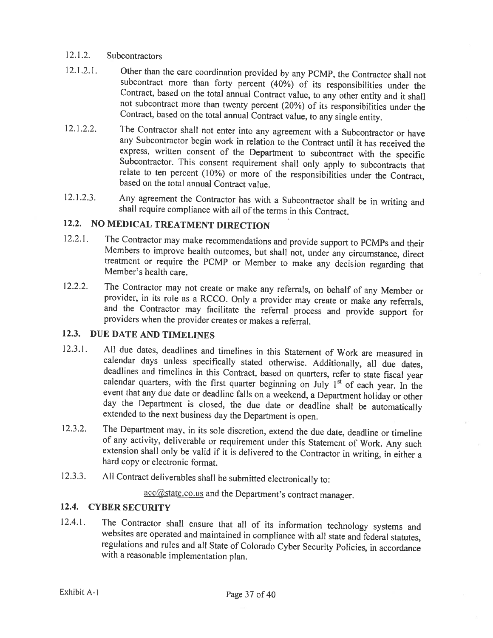### 12.1.2. Subcontractors

- 12.1.2.1. Other than the care coordination provided by any PCMP, the Contractor shall not subcontract more than forty percent  $(40\%)$  of its responsibilities under the Contract, based on the total annual Contract value, t
- 12.1.2.2. The Contractor shall not enter into any agreement with a Subcontractor or have any Subcontractor begin work in relation to the Contract until it has received the express, written consent of the Department to subcontract with the specific Subcontractor. This consent requirement shall only apply to subcontracts that relate to ten percent (10%) or more of the responsibilities under the Contract, based on the total annual Contract value.
- 12.1.2.3. Any agreement the Contractor has with <sup>a</sup> Subcontractor shall be in writing and shall require compliance with all ofthe terms in this Contract.

# 12.2. NO MEDICAL TREATMENT DIRECTION

- 12.2.1. The Contractor may make recommendations and provide support to PCMPs and their Members to improve health outcomes, but shall not, under any circumstance, direct treatment or require the PCMP or Member to make any d
- 12.2.2. The Contractor may not create or make any referrals, on behalf of any Member or provider, in its role as a RCCO. Only a provider may create or make any referrals, and the Contractor may facilitate the referral proc

### 12.3. DUE DATE AND TIMELINES

- 12.3.1. All due dates, deadlines and timelines in this Statement of Work are measured in calendar days unless specifically stated otherwise. Additionally, all due dates, deadlines and timelines in this Contract, based on event that any due date or deadline falls on a weekend, a Department holiday or other day the Department is closed, the due date or deadline shall be automatically extended to the next business day the Department is open.
- 12.3.2. The Department may, in its sole discretion, extend the due date, deadline or timeline of any activity, deliverable or requirement under this Statement of Work. Any such extension shall only be valid if it is delive
- 12.3.3. All Contract deliverables shall be submitted electronically to:

acc@state.co.us and the Department's contract manager.

### 12.4. CYBER SECURITY

12.4.1. The Contractor shall ensure that all of its information technology systems and websites are operated and maintained in compliance with all state and federal statutes, regulations and rules and all State of Colorado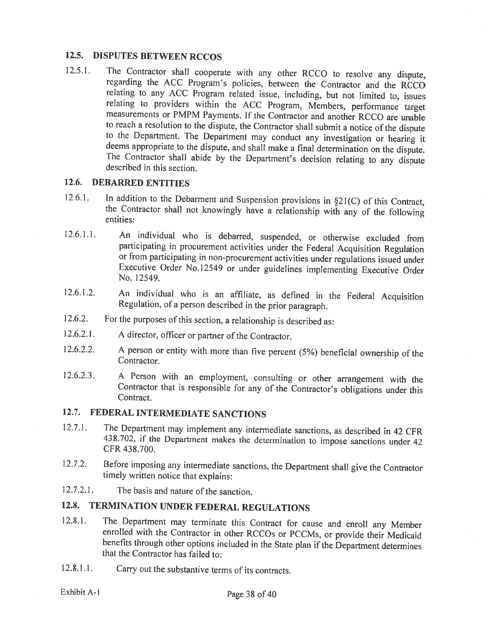### 12.5. DISPUTES BETWEEN RCCOS

12.5.1. The Contractor shall cooperate with any other RCCO to resolve any dispute, regarding the ACC Program's policies, between the Contractor and the RCCO relating to any ACC Program related issue, including, but not lim relating to providers within the ACC Program, Members, performance target measurements or PMPM Payments. If the Contractor and another RCCO are unable to reach a resolution to the dispute, the Contractor shall submit a not to the Department. The Department may conduct any investigation or hearing it deems appropriate to the dispute, and shall make a final determination on the dispute. The Contractor shall abide by the Department's decision r

### 12.6. DEBARRED ENTITIES

- 12.6.1. In addition to the Debarment and Suspension provisions in §21(C) of this Contract, the Contractor shall not knowingly have <sup>a</sup> relationship with any of the following entities:
- 12.6.1.1. An individual who is debarred, suspended, or otherwise excluded from participating in procurement activities under the Federal Acquisition Regulation or from participating in non-procurement activities under regulations issued under Executive Order No.12549 or under guidelines implementing Executive Order No. 12549.
- 12.6.1.2. An individual who is an affiliate, as defined in the Federal Acquisition Regulation, of <sup>a</sup> person described in the prior paragraph.
- 12.6.2. For the purposes of this section, <sup>a</sup> relationship is described as:
- 12.6.2.1. <sup>A</sup> director, officer or partner of the Contractor.
- 12.6.2.2. A person or entity with more than five percent (5%) beneficial ownership of the Contractor.
- 12.6.2.3. <sup>A</sup> Person with an employment, consulting or other arrangement with the Contractor that is responsible for any of the Contractor's obligations under this Contract.

# 12.7. FEDERAL INTERMEDIATE SANCTIONS

- 12.7.1. The Department may implement any intermediate sanctions, as described in <sup>42</sup> CFR 438.702, if the Department makes the determination to impose sanctions under <sup>42</sup> CFR 438.700.
- 12.7.2. Before imposing any intermediate sanctions, the Department shall <sup>g</sup>ive the Contractor timely written notice that explains:
- 12.7.2.1. The basis and nature of the sanction.

# 12.8. TERMINATION UNDER FEDERAL REGULATIONS

- 12.8.1. The Department may terminate this Contract for cause and enroll any Member enrolled with the Contractor in other RCCOs or PCCMs, or provide their Medicaid benefits through other options included in the State plan i
- 12.8.1.1. Carry out the substantive terms of its contracts.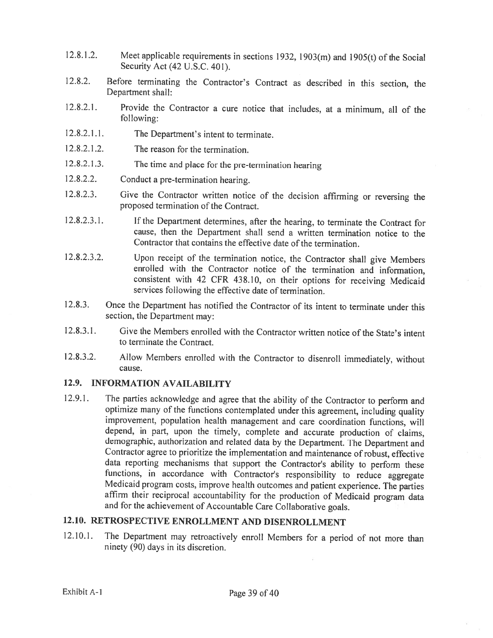- 12.8.1.2. Meet applicable requirements in sections 1932, 1903(m) and 1905(t) of the Social Security Act (42 U.S.C. 401).
- 12.8.2. Before terminating the Contractor's Contract as described in this section, the Department shall:
- 12.8.2.1. Provide the Contractor <sup>a</sup> cure notice that includes, at <sup>a</sup> minimum, all of the following:
- 12.8.2.1.1. The Department's intent to terminate.
- 12.8.2.1.2. The reason for the termination.
- 12.8.2.1 .3. The time and <sup>p</sup>lace for the pre-termination hearing
- 12.8.2.2. Conduct <sup>a</sup> pre-termination hearing.
- 12.8.2.3. Give the Contractor written notice of the decision affirming or reversing the proposed termination of the Contract.
- 12.8.2.3.1. If the Department determines, after the hearing, to terminate the Contract for cause, then the Department shall send <sup>a</sup> written termination notice to the Contractor that contains the effective date of the termination.
- 12.8.2.3.2. Upon receipt of the termination notice, the Contractor shall <sup>g</sup>ive Members enrolled with the Contractor notice of the termination and information, consistent with <sup>42</sup> CFR 438.10, on their options for receiving Medicaid services following the effective date of termination.
- 12.8.3. Once the Department has notified the Contractor of its intent to terminate under this section, the Department may:
- 12.8.3.1. Give the Members enrolled with the Contractor written notice of the State's intent to terminate the Contract.
- 12.8.3.2. Allow Members enrolled with the Contractor to disenroll immediately, without cause.

### 12.9. INFORMATION AVAILABILITY

12.9.1. The parties acknowledge and agree that the ability of the Contractor to perform and optimize many of the functions contemplated under this agreement, including quality improvement, population health management and care coordination functions, will depend, in part, upon the timely, complete and accurate production of claims, demographic, authorization and related data by the Department. The Department and Contractor agree to prioritize the implementation and maintenance of robust, effective data reporting mechanisms that support the Contractor's ability to perform these functions, in accordance with Contractor's responsibility to reduce aggregate Medicaid program costs, improve health outcomes and patient experience. The parties affirm their reciprocal accountability for the production of Medicaid program data and for the achievement of Accountable Care Collaborative goals.

## 12.10. RETROSPECTIVE ENROLLMENT AND DISENROLLMENT

12.10.1. The Department may retroactively enroll Members for <sup>a</sup> period of not more than ninety (90) days in its discretion.